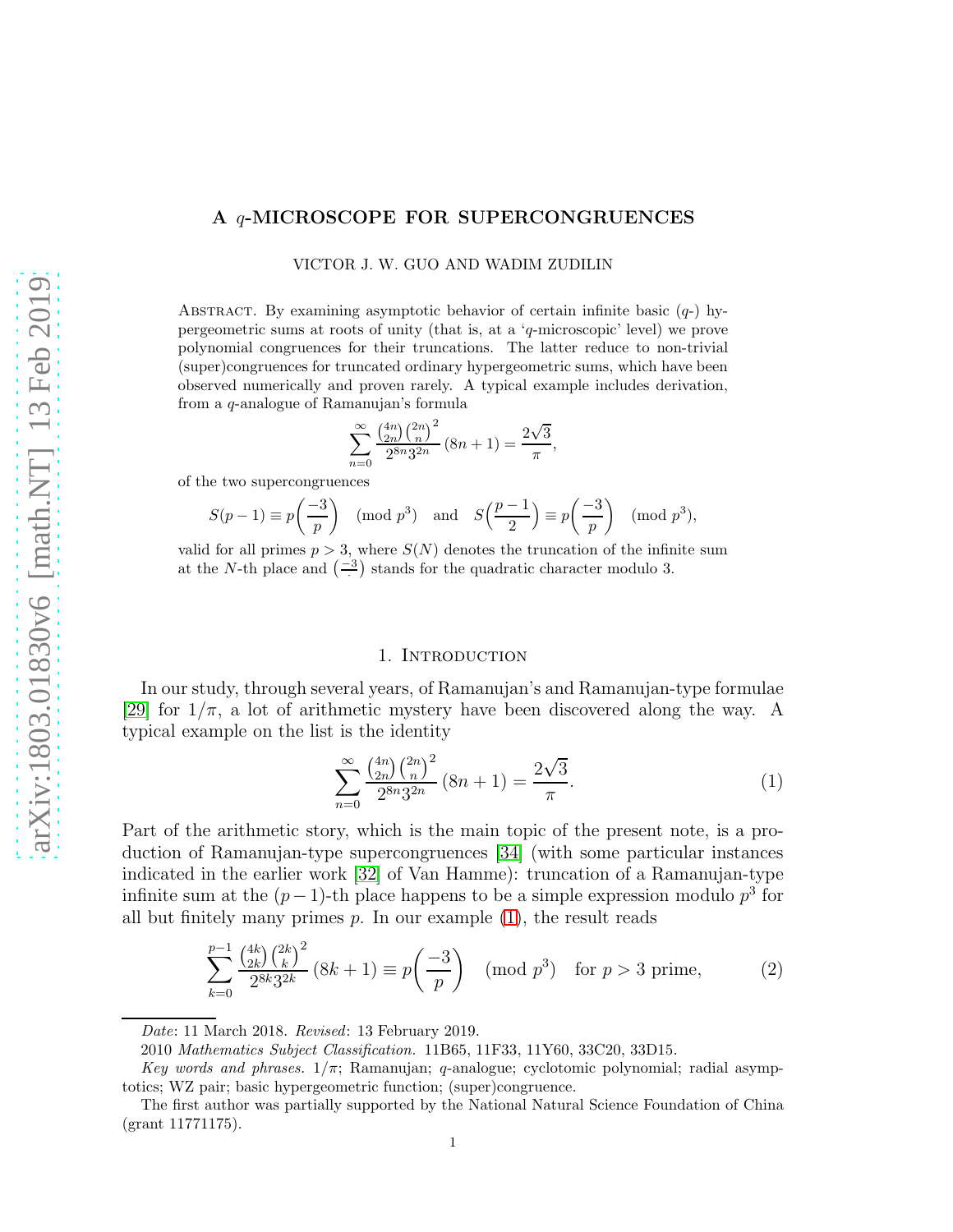# A q-MICROSCOPE FOR SUPERCONGRUENCES

VICTOR J. W. GUO AND WADIM ZUDILIN

ABSTRACT. By examining asymptotic behavior of certain infinite basic  $(q<sub>-</sub>)$  hypergeometric sums at roots of unity (that is, at a 'q-microscopic' level) we prove polynomial congruences for their truncations. The latter reduce to non-trivial (super)congruences for truncated ordinary hypergeometric sums, which have been observed numerically and proven rarely. A typical example includes derivation, from a q-analogue of Ramanujan's formula

$$
\sum_{n=0}^{\infty} \frac{\binom{4n}{2n} \binom{2n}{n}^2}{2^{8n} 3^{2n}} (8n+1) = \frac{2\sqrt{3}}{\pi},
$$

of the two supercongruences

$$
S(p-1) \equiv p\left(\frac{-3}{p}\right) \pmod{p^3} \quad \text{and} \quad S\left(\frac{p-1}{2}\right) \equiv p\left(\frac{-3}{p}\right) \pmod{p^3},
$$

valid for all primes  $p > 3$ , where  $S(N)$  denotes the truncation of the infinite sum at the N-th place and  $\left(-\frac{3}{\cdot}\right)$  stands for the quadratic character modulo 3.

#### 1. Introduction

In our study, through several years, of Ramanujan's and Ramanujan-type formulae [\[29\]](#page-25-0) for  $1/\pi$ , a lot of arithmetic mystery have been discovered along the way. A typical example on the list is the identity

<span id="page-0-0"></span>
$$
\sum_{n=0}^{\infty} \frac{\binom{4n}{2n} \binom{2n}{n}^2}{2^{8n} 3^{2n}} (8n+1) = \frac{2\sqrt{3}}{\pi}.
$$
 (1)

Part of the arithmetic story, which is the main topic of the present note, is a production of Ramanujan-type supercongruences [\[34\]](#page-25-1) (with some particular instances indicated in the earlier work [\[32\]](#page-25-2) of Van Hamme): truncation of a Ramanujan-type infinite sum at the  $(p-1)$ -th place happens to be a simple expression modulo  $p^3$  for all but finitely many primes  $p$ . In our example  $(1)$ , the result reads

<span id="page-0-1"></span>
$$
\sum_{k=0}^{p-1} \frac{\binom{4k}{2k} \binom{2k}{k}^2}{2^{8k} 3^{2k}} (8k+1) \equiv p \left( \frac{-3}{p} \right) \pmod{p^3} \text{ for } p > 3 \text{ prime},\tag{2}
$$

Date: 11 March 2018. Revised: 13 February 2019.

<sup>2010</sup> Mathematics Subject Classification. 11B65, 11F33, 11Y60, 33C20, 33D15.

Key words and phrases.  $1/\pi$ ; Ramanujan; q-analogue; cyclotomic polynomial; radial asymptotics; WZ pair; basic hypergeometric function; (super)congruence.

The first author was partially supported by the National Natural Science Foundation of China (grant 11771175).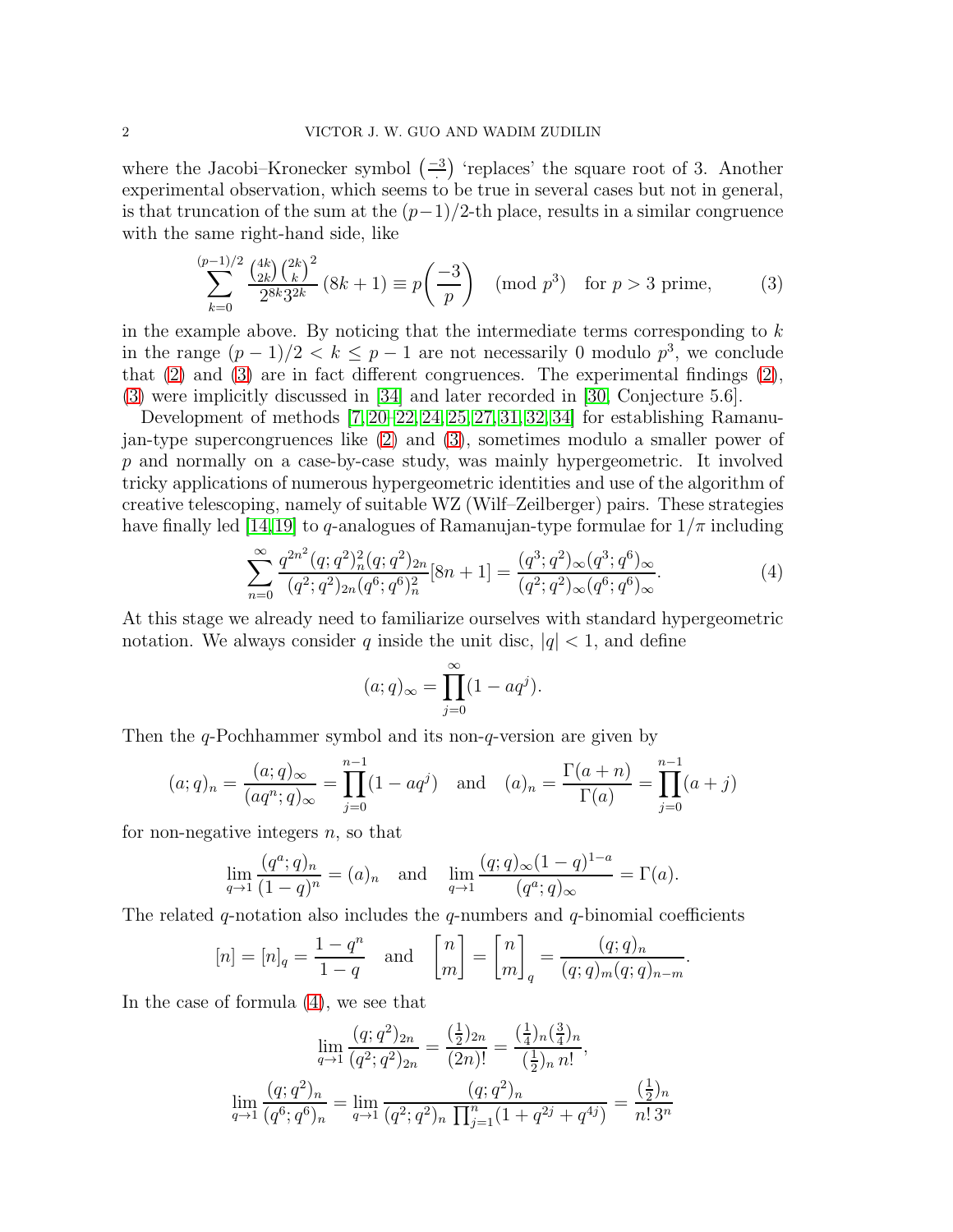where the Jacobi–Kronecker symbol  $\left(-\frac{3}{2}\right)$  'replaces' the square root of 3. Another experimental observation, which seems to be true in several cases but not in general, is that truncation of the sum at the  $(p-1)/2$ -th place, results in a similar congruence with the same right-hand side, like

<span id="page-1-0"></span>
$$
\sum_{k=0}^{(p-1)/2} \frac{\binom{4k}{2k} \binom{2k}{k}^2}{2^{8k} 3^{2k}} (8k+1) \equiv p \left(\frac{-3}{p}\right) \pmod{p^3} \text{ for } p > 3 \text{ prime},\tag{3}
$$

in the example above. By noticing that the intermediate terms corresponding to  $k$ in the range  $(p-1)/2 < k \leq p-1$  are not necessarily 0 modulo  $p^3$ , we conclude that [\(2\)](#page-0-1) and [\(3\)](#page-1-0) are in fact different congruences. The experimental findings [\(2\)](#page-0-1), [\(3\)](#page-1-0) were implicitly discussed in [\[34\]](#page-25-1) and later recorded in [\[30,](#page-25-3) Conjecture 5.6].

Development of methods [\[7,](#page-24-0) [20–](#page-25-4)[22,](#page-25-5) [24,](#page-25-6) [25,](#page-25-7) [27,](#page-25-8) [31,](#page-25-9) [32,](#page-25-2) [34\]](#page-25-1) for establishing Ramanujan-type supercongruences like [\(2\)](#page-0-1) and [\(3\)](#page-1-0), sometimes modulo a smaller power of p and normally on a case-by-case study, was mainly hypergeometric. It involved tricky applications of numerous hypergeometric identities and use of the algorithm of creative telescoping, namely of suitable WZ (Wilf–Zeilberger) pairs. These strategies have finally led [\[14,](#page-24-1)[19\]](#page-25-10) to q-analogues of Ramanujan-type formulae for  $1/\pi$  including

<span id="page-1-1"></span>
$$
\sum_{n=0}^{\infty} \frac{q^{2n^2} (q;q^2)_n^2 (q;q^2)_{2n}}{(q^2;q^2)_{2n} (q^6;q^6)_n^2} [8n+1] = \frac{(q^3;q^2)_{\infty} (q^3;q^6)_{\infty}}{(q^2;q^2)_{\infty} (q^6;q^6)_{\infty}}.
$$
\n(4)

At this stage we already need to familiarize ourselves with standard hypergeometric notation. We always consider q inside the unit disc,  $|q| < 1$ , and define

$$
(a;q)_{\infty} = \prod_{j=0}^{\infty} (1 - aq^j).
$$

Then the q-Pochhammer symbol and its non-q-version are given by

$$
(a;q)_n = \frac{(a;q)_{\infty}}{(aq^n;q)_{\infty}} = \prod_{j=0}^{n-1} (1-aq^j)
$$
 and  $(a)_n = \frac{\Gamma(a+n)}{\Gamma(a)} = \prod_{j=0}^{n-1} (a+j)$ 

for non-negative integers  $n$ , so that

$$
\lim_{q \to 1} \frac{(q^a; q)_n}{(1-q)^n} = (a)_n \quad \text{and} \quad \lim_{q \to 1} \frac{(q; q)_\infty (1-q)^{1-a}}{(q^a; q)_\infty} = \Gamma(a).
$$

The related q-notation also includes the q-numbers and q-binomial coefficients

$$
[n] = [n]_q = \frac{1 - q^n}{1 - q} \quad \text{and} \quad \begin{bmatrix} n \\ m \end{bmatrix} = \begin{bmatrix} n \\ m \end{bmatrix}_q = \frac{(q; q)_n}{(q; q)_m (q; q)_{n-m}}.
$$

In the case of formula [\(4\)](#page-1-1), we see that

$$
\lim_{q \to 1} \frac{(q;q^2)_{2n}}{(q^2;q^2)_{2n}} = \frac{\left(\frac{1}{2}\right)_{2n}}{(2n)!} = \frac{\left(\frac{1}{4}\right)_n \left(\frac{3}{4}\right)_n}{\left(\frac{1}{2}\right)_n n!},
$$

$$
\lim_{q \to 1} \frac{(q;q^2)_n}{(q^6;q^6)_n} = \lim_{q \to 1} \frac{(q;q^2)_n}{(q^2;q^2)_n \prod_{j=1}^n (1+q^{2j}+q^{4j})} = \frac{\left(\frac{1}{2}\right)_n}{n! \, 3^n}
$$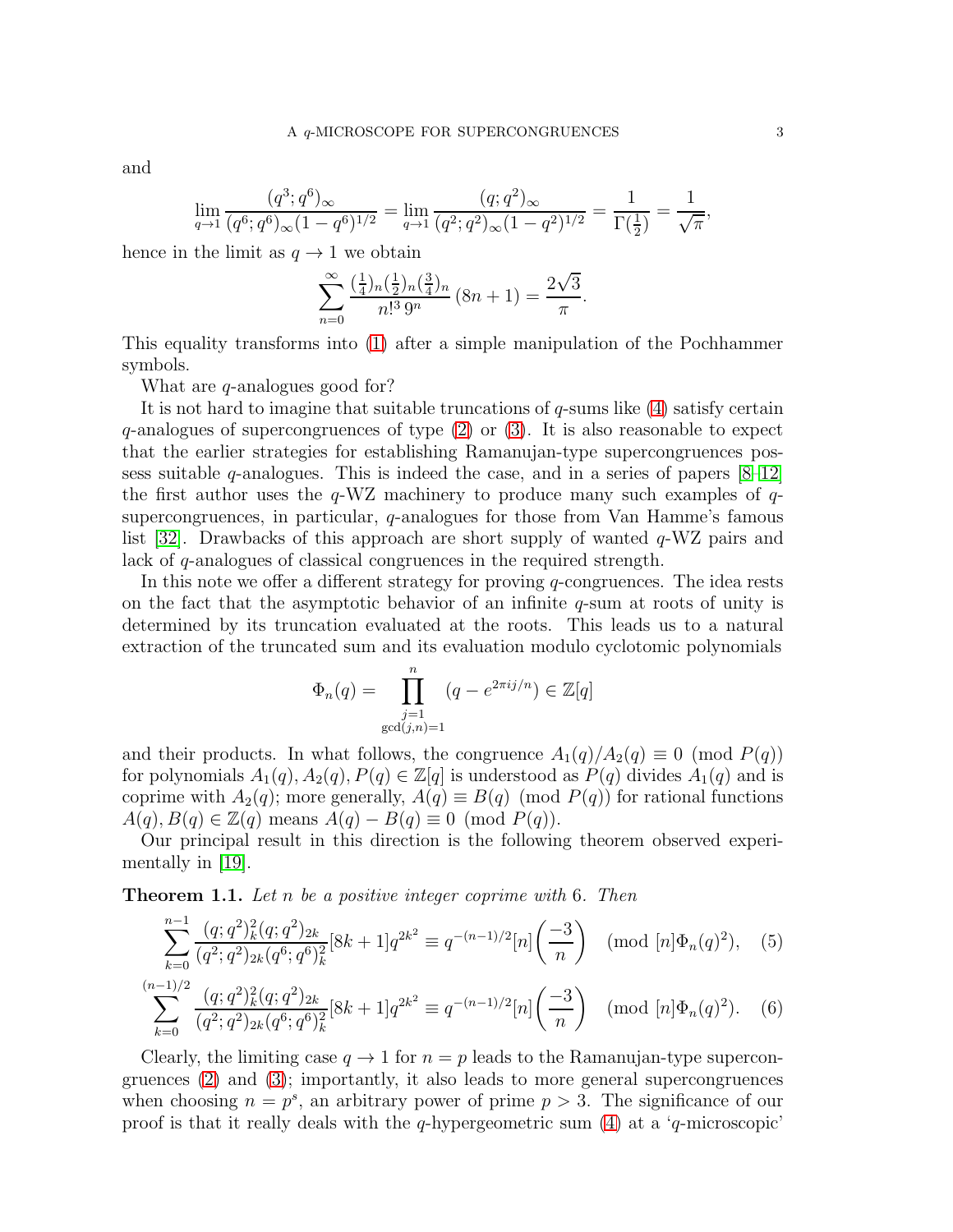and

$$
\lim_{q \to 1} \frac{(q^3; q^6)_{\infty}}{(q^6; q^6)_{\infty} (1 - q^6)^{1/2}} = \lim_{q \to 1} \frac{(q; q^2)_{\infty}}{(q^2; q^2)_{\infty} (1 - q^2)^{1/2}} = \frac{1}{\Gamma(\frac{1}{2})} = \frac{1}{\sqrt{\pi}},
$$

hence in the limit as  $q \to 1$  we obtain

$$
\sum_{n=0}^{\infty} \frac{\left(\frac{1}{4}\right)_{n}\left(\frac{1}{2}\right)_{n}\left(\frac{3}{4}\right)_{n}}{n!^{3} 9^{n}} (8n+1) = \frac{2\sqrt{3}}{\pi}.
$$

This equality transforms into [\(1\)](#page-0-0) after a simple manipulation of the Pochhammer symbols.

What are *q*-analogues good for?

It is not hard to imagine that suitable truncations of q-sums like [\(4\)](#page-1-1) satisfy certain  $q$ -analogues of supercongruences of type  $(2)$  or  $(3)$ . It is also reasonable to expect that the earlier strategies for establishing Ramanujan-type supercongruences possess suitable  $q$ -analogues. This is indeed the case, and in a series of papers  $[8-12]$  $[8-12]$ the first author uses the  $q$ -WZ machinery to produce many such examples of  $q$ supercongruences, in particular, q-analogues for those from Van Hamme's famous list [\[32\]](#page-25-2). Drawbacks of this approach are short supply of wanted  $q$ -WZ pairs and lack of q-analogues of classical congruences in the required strength.

In this note we offer a different strategy for proving q-congruences. The idea rests on the fact that the asymptotic behavior of an infinite  $q$ -sum at roots of unity is determined by its truncation evaluated at the roots. This leads us to a natural extraction of the truncated sum and its evaluation modulo cyclotomic polynomials

<span id="page-2-2"></span><span id="page-2-1"></span>
$$
\Phi_n(q) = \prod_{\substack{j=1 \ \gcd(j,n)=1}}^n (q - e^{2\pi i j/n}) \in \mathbb{Z}[q]
$$

and their products. In what follows, the congruence  $A_1(q)/A_2(q) \equiv 0 \pmod{P(q)}$ for polynomials  $A_1(q), A_2(q), P(q) \in \mathbb{Z}[q]$  is understood as  $P(q)$  divides  $A_1(q)$  and is coprime with  $A_2(q)$ ; more generally,  $A(q) \equiv B(q) \pmod{P(q)}$  for rational functions  $A(q), B(q) \in \mathbb{Z}(q)$  means  $A(q) - B(q) \equiv 0 \pmod{P(q)}$ .

Our principal result in this direction is the following theorem observed experimentally in [\[19\]](#page-25-10).

<span id="page-2-0"></span>**Theorem 1.1.** Let n be a positive integer coprime with 6. Then

$$
\sum_{k=0}^{n-1} \frac{(q;q^2)_k^2 (q;q^2)_{2k}}{(q^2;q^2)_{2k} (q^6;q^6)_k^2} [8k+1] q^{2k^2} \equiv q^{-(n-1)/2} [n] \left(\frac{-3}{n}\right) \pmod{[n] \Phi_n(q)^2}, \quad (5)
$$

$$
\sum_{k=0}^{(n-1)/2} \frac{(q;q^2)_k^2 (q;q^2)_{2k}}{(q^2;q^2)_{2k} (q^6;q^6)_k^2} [8k+1] q^{2k^2} \equiv q^{-(n-1)/2} [n] \left(\frac{-3}{n}\right) \pmod{[n] \Phi_n(q)^2}.
$$
 (6)

Clearly, the limiting case  $q \to 1$  for  $n = p$  leads to the Ramanujan-type supercongruences [\(2\)](#page-0-1) and [\(3\)](#page-1-0); importantly, it also leads to more general supercongruences when choosing  $n = p^s$ , an arbitrary power of prime  $p > 3$ . The significance of our proof is that it really deals with the q-hypergeometric sum  $(4)$  at a 'q-microscopic'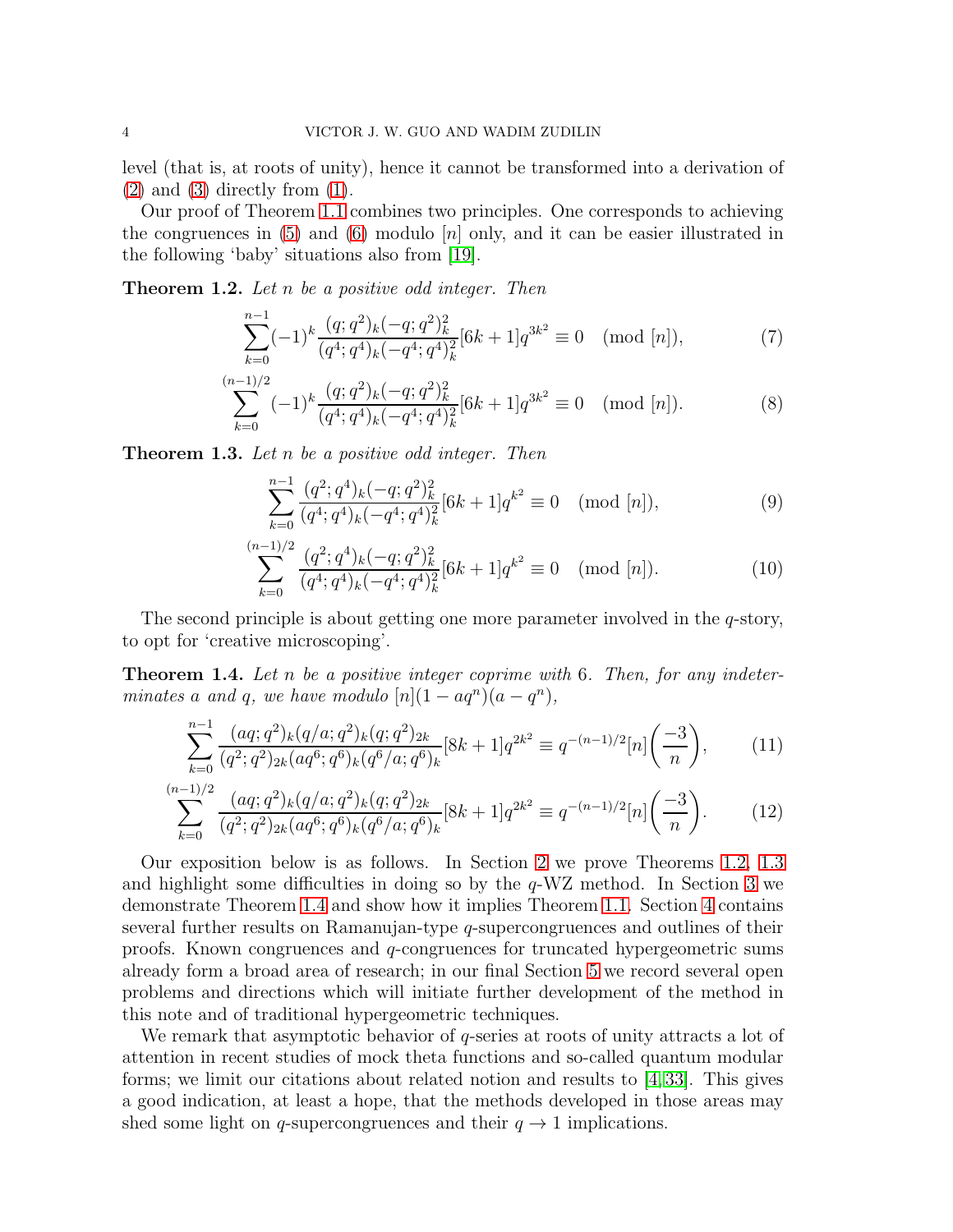level (that is, at roots of unity), hence it cannot be transformed into a derivation of  $(2)$  and  $(3)$  directly from  $(1)$ .

Our proof of Theorem [1.1](#page-2-0) combines two principles. One corresponds to achieving the congruences in  $(5)$  and  $(6)$  modulo  $[n]$  only, and it can be easier illustrated in the following 'baby' situations also from [\[19\]](#page-25-10).

<span id="page-3-0"></span>**Theorem 1.2.** Let n be a positive odd integer. Then

<span id="page-3-3"></span>
$$
\sum_{k=0}^{n-1}(-1)^k \frac{(q;q^2)_k(-q;q^2)_k^2}{(q^4;q^4)_k(-q^4;q^4)_k^2} [6k+1]q^{3k^2} \equiv 0 \pmod{[n]},\tag{7}
$$

$$
\sum_{k=0}^{(n-1)/2} (-1)^k \frac{(q;q^2)_k (-q;q^2)_k^2}{(q^4;q^4)_k (-q^4;q^4)_k^2} [6k+1] q^{3k^2} \equiv 0 \pmod{[n]}.
$$
 (8)

<span id="page-3-1"></span>**Theorem 1.3.** Let n be a positive odd integer. Then

<span id="page-3-6"></span><span id="page-3-5"></span><span id="page-3-4"></span>
$$
\sum_{k=0}^{n-1} \frac{(q^2;q^4)_k(-q;q^2)_k^2}{(q^4;q^4)_k(-q^4;q^4)_k^2} [6k+1]q^{k^2} \equiv 0 \pmod{[n]},
$$
\n(9)

<span id="page-3-8"></span><span id="page-3-7"></span>
$$
\sum_{k=0}^{(n-1)/2} \frac{(q^2;q^4)_k(-q;q^2)_k^2}{(q^4;q^4)_k(-q^4;q^4)_k^2} [6k+1]q^{k^2} \equiv 0 \pmod{[n]}.
$$
 (10)

The second principle is about getting one more parameter involved in the q-story, to opt for 'creative microscoping'.

<span id="page-3-2"></span>**Theorem 1.4.** Let n be a positive integer coprime with 6. Then, for any indeterminates a and q, we have modulo  $[n](1 - aq^n)(a - q^n)$ ,

$$
\sum_{k=0}^{n-1} \frac{(aq;q^2)_k (q/a;q^2)_k (q;q^2)_{2k}}{(q^2;q^2)_{2k} (aq^6;q^6)_k (q^6/a;q^6)_k} [8k+1] q^{2k^2} \equiv q^{-(n-1)/2} [n] \left(\frac{-3}{n}\right),\tag{11}
$$

$$
\sum_{k=0}^{(n-1)/2} \frac{(aq;q^2)_k (q/a;q^2)_k (q;q^2)_{2k}}{(q^2;q^2)_{2k} (aq^6;q^6)_k (q^6/a;q^6)_k} [8k+1] q^{2k^2} \equiv q^{-(n-1)/2} [n] \left(\frac{-3}{n}\right). \tag{12}
$$

Our exposition below is as follows. In Section [2](#page-4-0) we prove Theorems [1.2,](#page-3-0) [1.3](#page-3-1) and highlight some difficulties in doing so by the  $q$ -WZ method. In Section [3](#page-7-0) we demonstrate Theorem [1.4](#page-3-2) and show how it implies Theorem [1.1.](#page-2-0) Section [4](#page-10-0) contains several further results on Ramanujan-type q-supercongruences and outlines of their proofs. Known congruences and q-congruences for truncated hypergeometric sums already form a broad area of research; in our final Section [5](#page-21-0) we record several open problems and directions which will initiate further development of the method in this note and of traditional hypergeometric techniques.

We remark that asymptotic behavior of  $q$ -series at roots of unity attracts a lot of attention in recent studies of mock theta functions and so-called quantum modular forms; we limit our citations about related notion and results to  $(4, 33]$  $(4, 33]$ . This gives a good indication, at least a hope, that the methods developed in those areas may shed some light on q-supercongruences and their  $q \to 1$  implications.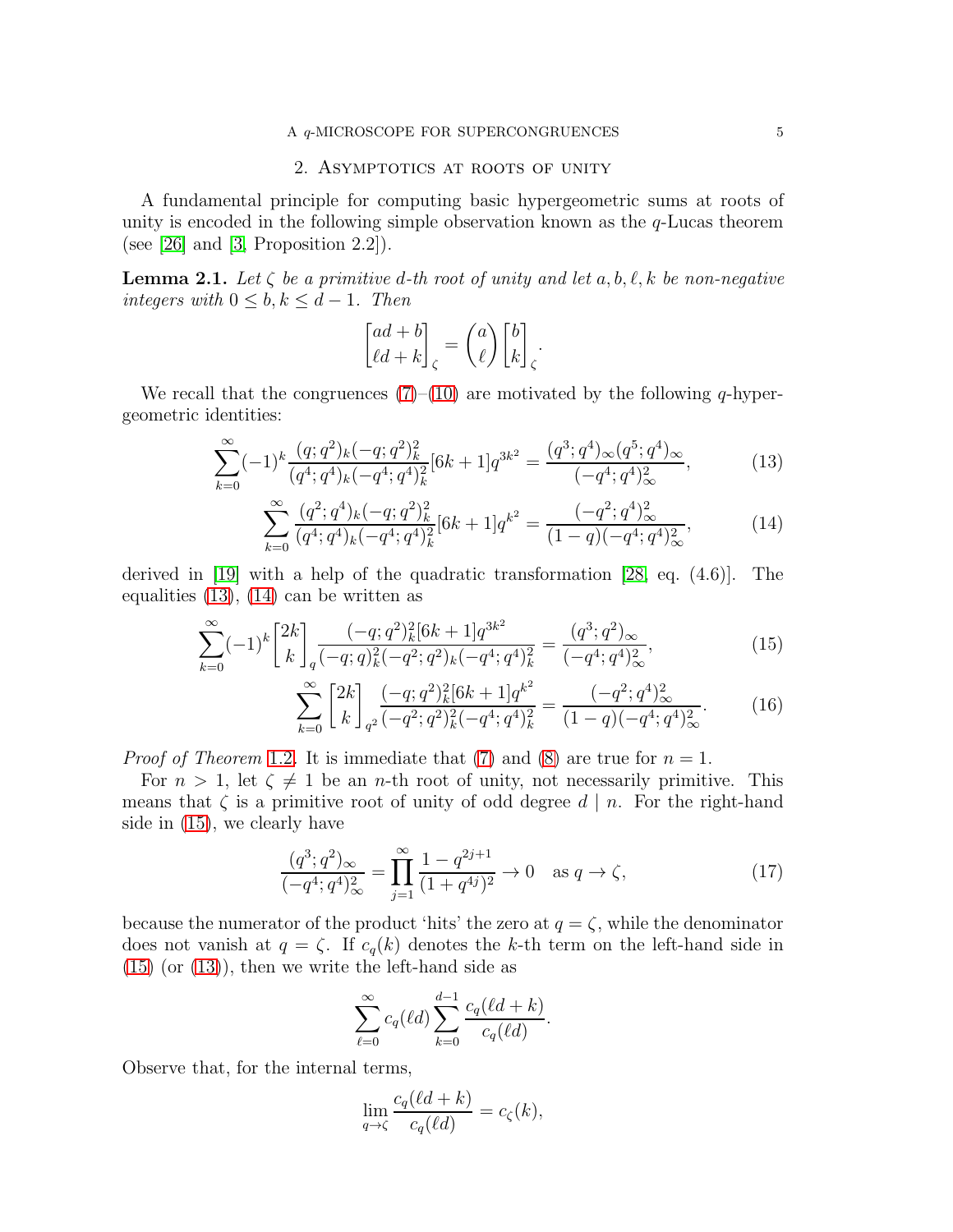### 2. Asymptotics at roots of unity

<span id="page-4-0"></span>A fundamental principle for computing basic hypergeometric sums at roots of unity is encoded in the following simple observation known as the  $q$ -Lucas theorem (see [\[26\]](#page-25-12) and [\[3,](#page-24-5) Proposition 2.2]).

<span id="page-4-4"></span>**Lemma 2.1.** Let  $\zeta$  be a primitive d-th root of unity and let  $a, b, \ell, k$  be non-negative integers with  $0 \leq b, k \leq d-1$ . Then

<span id="page-4-2"></span><span id="page-4-1"></span>
$$
\binom{ad+b}{\ell d+k}_{\zeta}=\binom{a}{\ell}\binom{b}{k}_{\zeta}.
$$

We recall that the congruences  $(7)$ – $(10)$  are motivated by the following q-hypergeometric identities:

$$
\sum_{k=0}^{\infty}(-1)^k \frac{(q;q^2)_k(-q;q^2)_k^2}{(q^4;q^4)_k(-q^4;q^4)_k^2} [6k+1]q^{3k^2} = \frac{(q^3;q^4)_{\infty}(q^5;q^4)_{\infty}}{(-q^4;q^4)_{\infty}^2},
$$
\n(13)

$$
\sum_{k=0}^{\infty} \frac{(q^2;q^4)_k(-q;q^2)_k^2}{(q^4;q^4)_k(-q^4;q^4)_k^2} [6k+1] q^{k^2} = \frac{(-q^2;q^4)_\infty^2}{(1-q)(-q^4;q^4)_\infty^2},\tag{14}
$$

derived in [\[19\]](#page-25-10) with a help of the quadratic transformation [\[28,](#page-25-13) eq. (4.6)]. The equalities [\(13\)](#page-4-1), [\(14\)](#page-4-2) can be written as

$$
\sum_{k=0}^{\infty} (-1)^k \begin{bmatrix} 2k \\ k \end{bmatrix}_q \frac{(-q;q^2)_k^2 [6k+1] q^{3k^2}}{(-q;q)_k^2 (-q^2;q^2)_k (-q^4;q^4)_k^2} = \frac{(q^3;q^2)_{\infty}}{(-q^4;q^4)_{\infty}^2},\tag{15}
$$

<span id="page-4-6"></span><span id="page-4-3"></span>
$$
\sum_{k=0}^{\infty} \begin{bmatrix} 2k \\ k \end{bmatrix}_{q^2} \frac{(-q;q^2)_k^2 [6k+1] q^{k^2}}{(-q^2;q^2)_k^2 (-q^4;q^4)_k^2} = \frac{(-q^2;q^4)_\infty^2}{(1-q)(-q^4;q^4)_\infty^2}.
$$
 (16)

*Proof of Theorem* [1.2](#page-3-0). It is immediate that [\(7\)](#page-3-3) and [\(8\)](#page-3-5) are true for  $n = 1$ .

For  $n > 1$ , let  $\zeta \neq 1$  be an *n*-th root of unity, not necessarily primitive. This means that  $\zeta$  is a primitive root of unity of odd degree  $d \mid n$ . For the right-hand side in [\(15\)](#page-4-3), we clearly have

<span id="page-4-5"></span>
$$
\frac{(q^3;q^2)_{\infty}}{(-q^4;q^4)_{\infty}^2} = \prod_{j=1}^{\infty} \frac{1-q^{2j+1}}{(1+q^{4j})^2} \to 0 \quad \text{as } q \to \zeta,
$$
\n(17)

because the numerator of the product 'hits' the zero at  $q = \zeta$ , while the denominator does not vanish at  $q = \zeta$ . If  $c_q(k)$  denotes the k-th term on the left-hand side in  $(15)$  (or  $(13)$ ), then we write the left-hand side as

$$
\sum_{\ell=0}^{\infty} c_q(\ell d) \sum_{k=0}^{d-1} \frac{c_q(\ell d + k)}{c_q(\ell d)}.
$$

Observe that, for the internal terms,

$$
\lim_{q \to \zeta} \frac{c_q(\ell d + k)}{c_q(\ell d)} = c_\zeta(k),
$$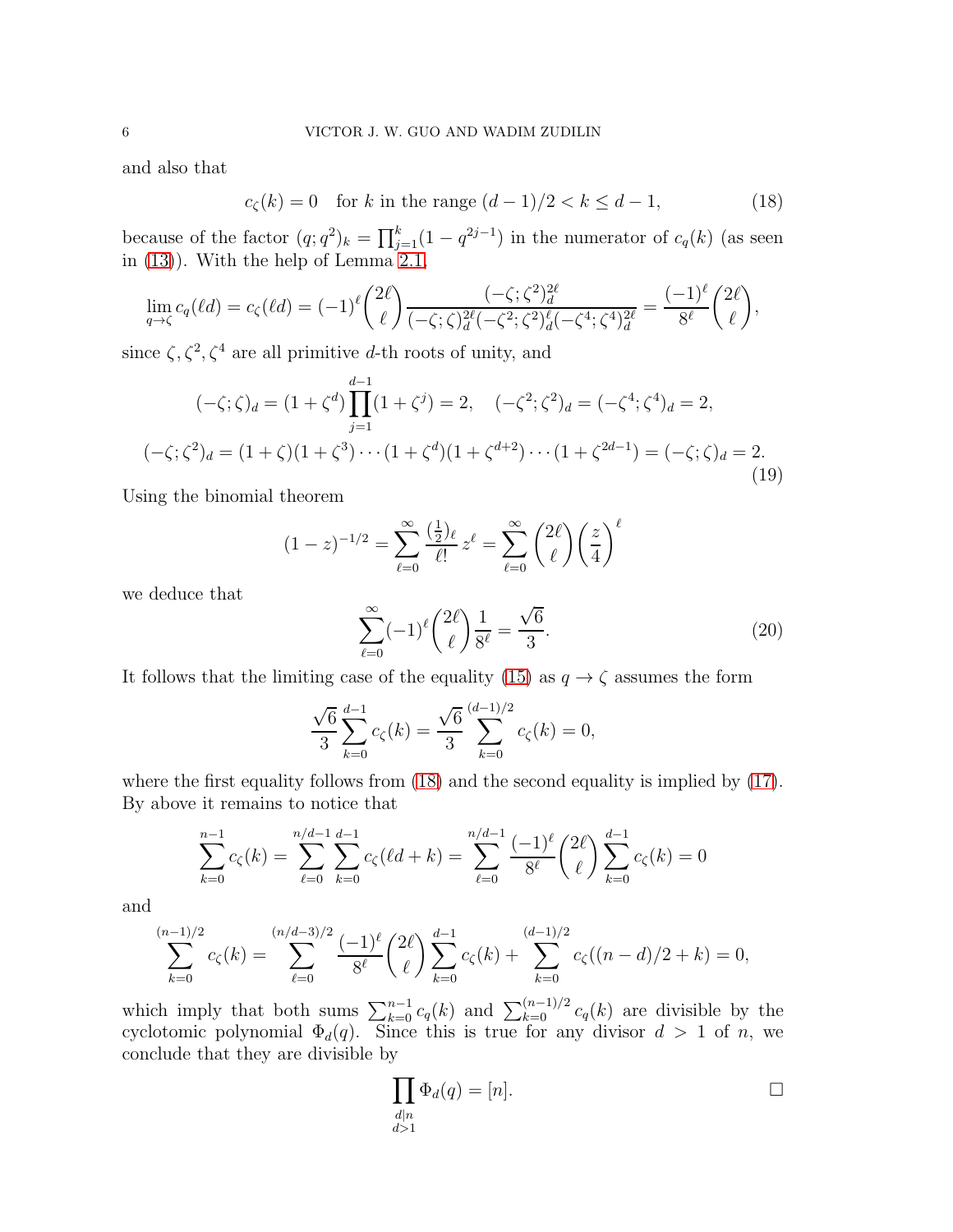and also that

<span id="page-5-0"></span>
$$
c_{\zeta}(k) = 0
$$
 for k in the range  $(d-1)/2 < k \leq d-1$ , (18)

because of the factor  $(q; q^2)_k = \prod_{j=1}^k (1 - q^{2j-1})$  in the numerator of  $c_q(k)$  (as seen in [\(13\)](#page-4-1)). With the help of Lemma [2.1,](#page-4-4)

$$
\lim_{q \to \zeta} c_q(\ell d) = c_\zeta(\ell d) = (-1)^{\ell} \binom{2\ell}{\ell} \frac{(-\zeta; \zeta^2)^{2\ell}}{(-\zeta; \zeta)^{2\ell} ( -\zeta^2; \zeta^2)^{\ell}_{d} (-\zeta^4; \zeta^4)^{2\ell}} = \frac{(-1)^{\ell}}{8^{\ell}} \binom{2\ell}{\ell},
$$

since  $\zeta, \zeta^2, \zeta^4$  are all primitive d-th roots of unity, and

<span id="page-5-2"></span>
$$
(-\zeta; \zeta)_d = (1 + \zeta^d) \prod_{j=1}^{d-1} (1 + \zeta^j) = 2, \quad (-\zeta^2; \zeta^2)_d = (-\zeta^4; \zeta^4)_d = 2,
$$
  

$$
(-\zeta; \zeta^2)_d = (1 + \zeta)(1 + \zeta^3) \cdots (1 + \zeta^d)(1 + \zeta^{d+2}) \cdots (1 + \zeta^{2d-1}) = (-\zeta; \zeta)_d = 2.
$$
 (19)

Using the binomial theorem

$$
(1-z)^{-1/2} = \sum_{\ell=0}^{\infty} \frac{\left(\frac{1}{2}\right)_{\ell}}{\ell!} z^{\ell} = \sum_{\ell=0}^{\infty} \binom{2\ell}{\ell} \left(\frac{z}{4}\right)^{\ell}
$$

we deduce that

<span id="page-5-1"></span>
$$
\sum_{\ell=0}^{\infty} (-1)^{\ell} {2\ell \choose \ell} \frac{1}{8^{\ell}} = \frac{\sqrt{6}}{3}.
$$
 (20)

It follows that the limiting case of the equality [\(15\)](#page-4-3) as  $q \to \zeta$  assumes the form

$$
\frac{\sqrt{6}}{3} \sum_{k=0}^{d-1} c_{\zeta}(k) = \frac{\sqrt{6}}{3} \sum_{k=0}^{(d-1)/2} c_{\zeta}(k) = 0,
$$

where the first equality follows from  $(18)$  and the second equality is implied by  $(17)$ . By above it remains to notice that

$$
\sum_{k=0}^{n-1} c_{\zeta}(k) = \sum_{\ell=0}^{n/d-1} \sum_{k=0}^{d-1} c_{\zeta}(\ell d + k) = \sum_{\ell=0}^{n/d-1} \frac{(-1)^{\ell}}{8^{\ell}} {2\ell \choose \ell} \sum_{k=0}^{d-1} c_{\zeta}(k) = 0
$$

and

$$
\sum_{k=0}^{(n-1)/2} c_{\zeta}(k) = \sum_{\ell=0}^{(n/d-3)/2} \frac{(-1)^{\ell}}{8^{\ell}} {2\ell \choose \ell} \sum_{k=0}^{d-1} c_{\zeta}(k) + \sum_{k=0}^{(d-1)/2} c_{\zeta}((n-d)/2+k) = 0,
$$

which imply that both sums  $\sum_{k=0}^{n-1} c_q(k)$  and  $\sum_{k=0}^{(n-1)/2} c_q(k)$  are divisible by the cyclotomic polynomial  $\Phi_d(q)$ . Since this is true for any divisor  $d > 1$  of n, we conclude that they are divisible by

$$
\prod_{\substack{d|n\\d>1}} \Phi_d(q) = [n].
$$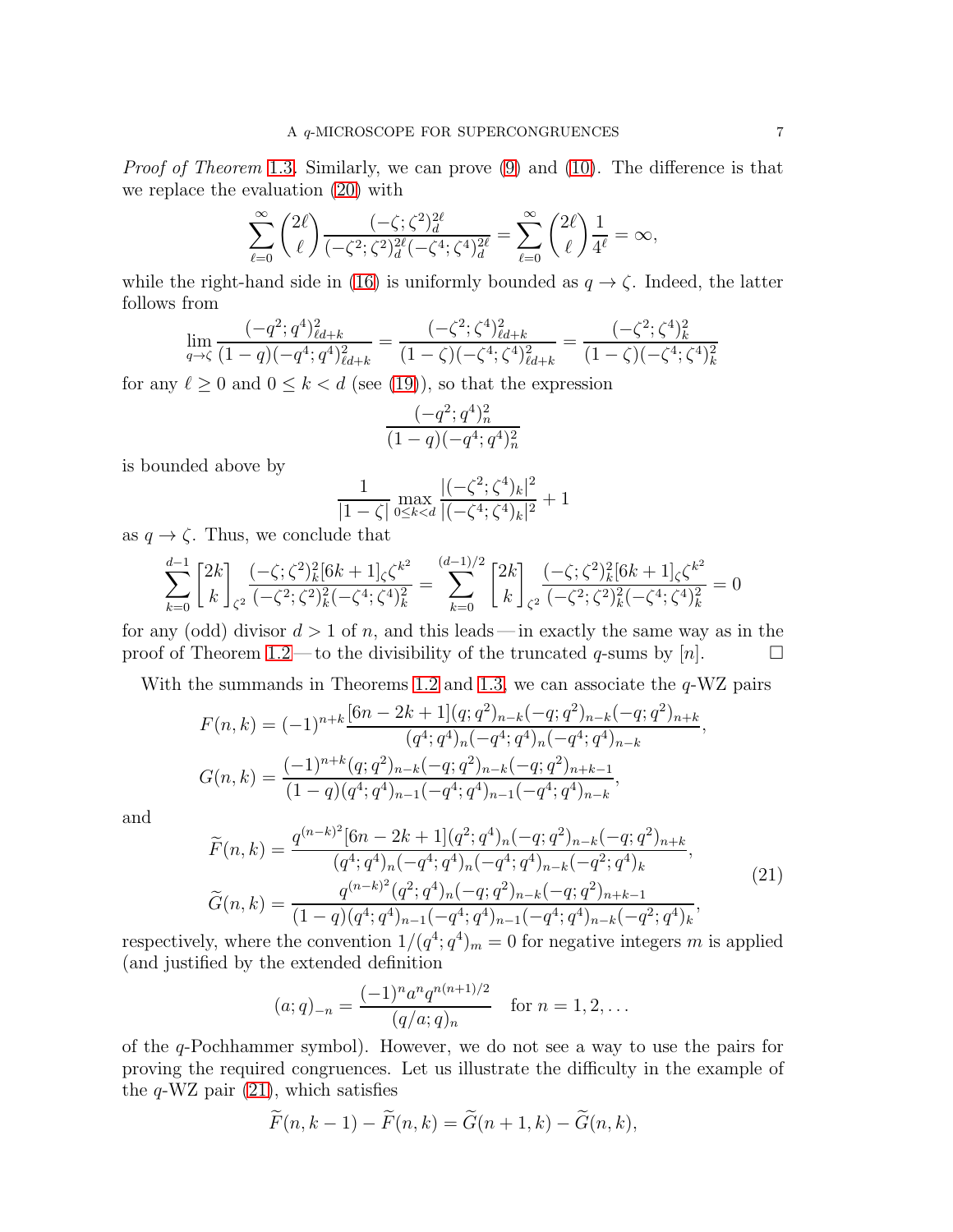Proof of Theorem [1.3](#page-3-1). Similarly, we can prove [\(9\)](#page-3-6) and [\(10\)](#page-3-4). The difference is that we replace the evaluation [\(20\)](#page-5-1) with

$$
\sum_{\ell=0}^{\infty} \binom{2\ell}{\ell} \frac{(-\zeta;\zeta^2)_{d}^{2\ell}}{(-\zeta^2;\zeta^2)_{d}^{2\ell}(-\zeta^4;\zeta^4)_{d}^{2\ell}} = \sum_{\ell=0}^{\infty} \binom{2\ell}{\ell} \frac{1}{4^{\ell}} = \infty,
$$

while the right-hand side in [\(16\)](#page-4-6) is uniformly bounded as  $q \to \zeta$ . Indeed, the latter follows from

$$
\lim_{q \to \zeta} \frac{(-q^2; q^4)_{\ell d+k}^2}{(1-q)(-q^4; q^4)_{\ell d+k}^2} = \frac{(-\zeta^2; \zeta^4)_{\ell d+k}^2}{(1-\zeta)(-\zeta^4; \zeta^4)_{\ell d+k}^2} = \frac{(-\zeta^2; \zeta^4)_{k}^2}{(1-\zeta)(-\zeta^4; \zeta^4)_{k}^2}
$$

for any  $\ell \geq 0$  and  $0 \leq k < d$  (see [\(19\)](#page-5-2)), so that the expression

$$
\frac{(-q^2;q^4)_n^2}{(1-q)(-q^4;q^4)_n^2}
$$

is bounded above by

$$
\frac{1}{|1-\zeta|} \max_{0 \le k < d} \frac{|(-\zeta^2; \zeta^4)_k|^2}{|(-\zeta^4; \zeta^4)_k|^2} + 1
$$

as  $q \to \zeta$ . Thus, we conclude that

$$
\sum_{k=0}^{d-1} \begin{bmatrix} 2k \\ k \end{bmatrix}_{\zeta^2} \frac{(-\zeta;\zeta^2)_k^2 [6k+1]_\zeta \zeta^{k^2}}{(-\zeta^2;\zeta^2)_k^2 (-\zeta^4;\zeta^4)_k^2} = \sum_{k=0}^{(d-1)/2} \begin{bmatrix} 2k \\ k \end{bmatrix}_{\zeta^2} \frac{(-\zeta;\zeta^2)_k^2 [6k+1]_\zeta \zeta^{k^2}}{(-\zeta^2;\zeta^2)_k^2 (-\zeta^4;\zeta^4)_k^2} = 0
$$

for any (odd) divisor  $d > 1$  of n, and this leads—in exactly the same way as in the proof of Theorem [1.2](#page-3-0)—to the divisibility of the truncated q-sums by [n].  $\Box$ 

With the summands in Theorems [1.2](#page-3-0) and [1.3,](#page-3-1) we can associate the  $q-WZ$  pairs

$$
F(n,k) = (-1)^{n+k} \frac{[6n-2k+1](q;q^2)_{n-k}(-q;q^2)_{n-k}(-q;q^2)_{n+k}}{(q^4;q^4)_n(-q^4;q^4)_n(-q^4;q^4)_{n-k}}
$$
  

$$
G(n,k) = \frac{(-1)^{n+k}(q;q^2)_{n-k}(-q;q^2)_{n-k}(-q;q^2)_{n+k-1}}{(1-q)(q^4;q^4)_{n-1}(-q^4;q^4)_{n-1}(-q^4;q^4)_{n-k}},
$$

and

<span id="page-6-0"></span>
$$
\widetilde{F}(n,k) = \frac{q^{(n-k)^2}[6n-2k+1](q^2;q^4)_n(-q;q^2)_{n-k}(-q;q^2)_{n+k}}{(q^4;q^4)_n(-q^4;q^4)_n(-q^4;q^4)_{n-k}(-q^2;q^4)_k},
$$
\n
$$
\widetilde{G}(n,k) = \frac{q^{(n-k)^2}(q^2;q^4)_n(-q;q^2)_{n-k}(-q;q^2)_{n+k-1}}{(1-q)(q^4;q^4)_{n-1}(-q^4;q^4)_{n-1}(-q^4;q^4)_{n-k}(-q^2;q^4)_k},
$$
\n(21)

respectively, where the convention  $1/(q^4; q^4)_m = 0$  for negative integers m is applied (and justified by the extended definition

$$
(a;q)_{-n} = \frac{(-1)^n a^n q^{n(n+1)/2}}{(q/a;q)_n} \quad \text{for } n = 1,2,\dots
$$

of the q-Pochhammer symbol). However, we do not see a way to use the pairs for proving the required congruences. Let us illustrate the difficulty in the example of the  $q$ -WZ pair  $(21)$ , which satisfies

$$
\widetilde{F}(n,k-1) - \widetilde{F}(n,k) = \widetilde{G}(n+1,k) - \widetilde{G}(n,k),
$$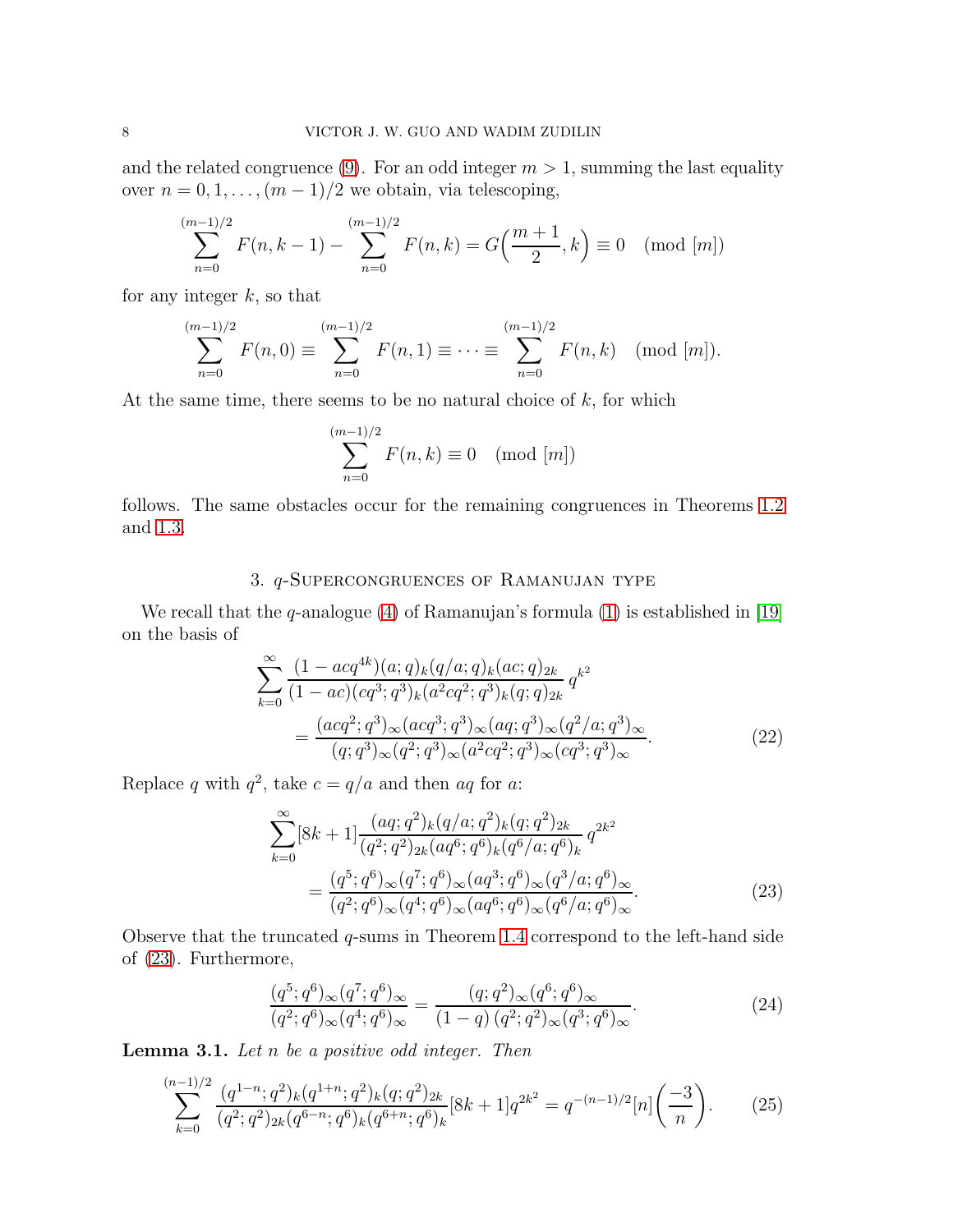and the related congruence [\(9\)](#page-3-6). For an odd integer  $m > 1$ , summing the last equality over  $n = 0, 1, \ldots, (m-1)/2$  we obtain, via telescoping,

$$
\sum_{n=0}^{(m-1)/2} F(n, k-1) - \sum_{n=0}^{(m-1)/2} F(n, k) = G\left(\frac{m+1}{2}, k\right) \equiv 0 \pmod{[m]}
$$

for any integer  $k$ , so that

$$
\sum_{n=0}^{(m-1)/2} F(n,0) \equiv \sum_{n=0}^{(m-1)/2} F(n,1) \equiv \cdots \equiv \sum_{n=0}^{(m-1)/2} F(n,k) \pmod{[m]}.
$$

At the same time, there seems to be no natural choice of  $k$ , for which

$$
\sum_{n=0}^{(m-1)/2} F(n,k) \equiv 0 \pmod{[m]}
$$

<span id="page-7-0"></span>follows. The same obstacles occur for the remaining congruences in Theorems [1.2](#page-3-0) and [1.3.](#page-3-1)

# 3. q-Supercongruences of Ramanujan type

We recall that the  $q$ -analogue  $(4)$  of Ramanujan's formula  $(1)$  is established in [\[19\]](#page-25-10) on the basis of

$$
\sum_{k=0}^{\infty} \frac{(1 - acq^{4k})(a;q)_k (q/a;q)_k (ac;q)_{2k}}{(1 - ac)(cq^3;q^3)_k (a^2cq^2;q^3)_k (q;q)_{2k}} q^{k^2}
$$

$$
= \frac{(acq^2;q^3)_{\infty} (acq^3;q^3)_{\infty} (aq;q^3)_{\infty} (q^2/a;q^3)_{\infty}}{(q;q^3)_{\infty} (q^2;q^3)_{\infty} (a^2cq^2;q^3)_{\infty} (cq^3;q^3)_{\infty}}.
$$
(22)

Replace q with  $q^2$ , take  $c = q/a$  and then  $aq$  for a:

<span id="page-7-3"></span><span id="page-7-1"></span>
$$
\sum_{k=0}^{\infty} [8k+1] \frac{(aq;q^2)_k (q/a;q^2)_k (q;q^2)_{2k}}{(q^2;q^2)_{2k} (aq^6;q^6)_k (q^6/a;q^6)_k} q^{2k^2}
$$

$$
= \frac{(q^5;q^6)_{\infty} (q^7;q^6)_{\infty} (aq^3;q^6)_{\infty} (q^3/a;q^6)_{\infty}}{(q^2;q^6)_{\infty} (q^4;q^6)_{\infty} (aq^6;q^6)_{\infty} (q^6/a;q^6)_{\infty}}.
$$
(23)

Observe that the truncated  $q$ -sums in Theorem [1.4](#page-3-2) correspond to the left-hand side of [\(23\)](#page-7-1). Furthermore,

<span id="page-7-4"></span>
$$
\frac{(q^5;q^6)_{\infty}(q^7;q^6)_{\infty}}{(q^2;q^6)_{\infty}(q^4;q^6)_{\infty}} = \frac{(q;q^2)_{\infty}(q^6;q^6)_{\infty}}{(1-q)(q^2;q^2)_{\infty}(q^3;q^6)_{\infty}}.
$$
\n(24)

<span id="page-7-5"></span>**Lemma 3.1.** Let  $n$  be a positive odd integer. Then

<span id="page-7-2"></span>
$$
\sum_{k=0}^{(n-1)/2} \frac{(q^{1-n}; q^2)_k (q^{1+n}; q^2)_k (q; q^2)_{2k}}{(q^2; q^2)_{2k} (q^{6-n}; q^6)_k (q^{6+n}; q^6)_k} [8k+1] q^{2k^2} = q^{-(n-1)/2} [n] \left(\frac{-3}{n}\right). \tag{25}
$$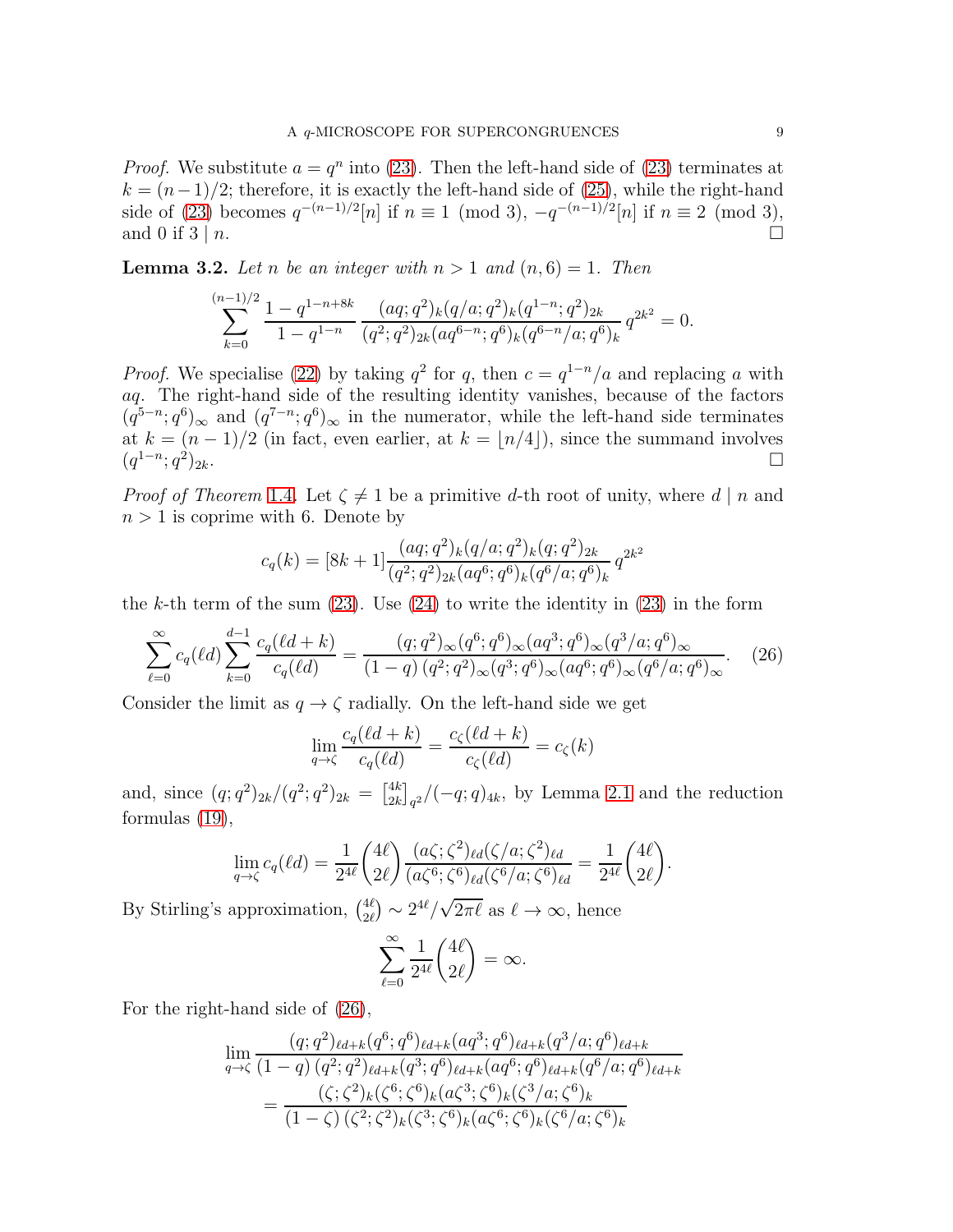*Proof.* We substitute  $a = q^n$  into [\(23\)](#page-7-1). Then the left-hand side of (23) terminates at  $k = (n-1)/2$ ; therefore, it is exactly the left-hand side of [\(25\)](#page-7-2), while the right-hand side of [\(23\)](#page-7-1) becomes  $q^{-(n-1)/2}[n]$  if  $n \equiv 1 \pmod{3}$ ,  $-q^{-(n-1)/2}[n]$  if  $n \equiv 2 \pmod{3}$ , and 0 if  $3 | n$ .

<span id="page-8-1"></span>**Lemma 3.2.** Let n be an integer with  $n > 1$  and  $(n, 6) = 1$ . Then

$$
\sum_{k=0}^{(n-1)/2} \frac{1-q^{1-n+8k}}{1-q^{1-n}} \frac{(aq;q^2)_k (q/a;q^2)_k (q^{1-n};q^2)_{2k}}{(q^2;q^2)_{2k} (aq^{6-n};q^6)_k (q^{6-n}/a;q^6)_k} q^{2k^2} = 0.
$$

*Proof.* We specialise [\(22\)](#page-7-3) by taking  $q^2$  for q, then  $c = q^{1-n}/a$  and replacing a with aq. The right-hand side of the resulting identity vanishes, because of the factors  $(q^{5-n}; q^6)_{\infty}$  and  $(q^{7-n}; q^6)_{\infty}$  in the numerator, while the left-hand side terminates at  $k = (n-1)/2$  (in fact, even earlier, at  $k = \lfloor n/4 \rfloor$ ), since the summand involves  $(q^{1-n}; q^2)_{2k}$ .  $(q^{1-n}; q^2)$  $)_{2k}.$ 

*Proof of Theorem* [1.4](#page-3-2). Let  $\zeta \neq 1$  be a primitive d-th root of unity, where  $d | n$  and  $n > 1$  is coprime with 6. Denote by

$$
c_q(k) = [8k+1] \frac{(aq;q^2)_k (q/a;q^2)_k (q;q^2)_{2k}}{(q^2;q^2)_{2k} (aq^6;q^6)_k (q^6/a;q^6)_k} q^{2k^2}
$$

the k-th term of the sum  $(23)$ . Use  $(24)$  to write the identity in  $(23)$  in the form

<span id="page-8-0"></span>
$$
\sum_{\ell=0}^{\infty} c_q(\ell d) \sum_{k=0}^{d-1} \frac{c_q(\ell d + k)}{c_q(\ell d)} = \frac{(q;q^2)_{\infty} (q^6;q^6)_{\infty} (aq^3;q^6)_{\infty} (q^3/a;q^6)_{\infty}}{(1-q) (q^2;q^2)_{\infty} (q^3;q^6)_{\infty} (aq^6;q^6)_{\infty} (q^6/a;q^6)_{\infty}}.
$$
 (26)

Consider the limit as  $q \to \zeta$  radially. On the left-hand side we get

$$
\lim_{q \to \zeta} \frac{c_q(\ell d + k)}{c_q(\ell d)} = \frac{c_\zeta(\ell d + k)}{c_\zeta(\ell d)} = c_\zeta(k)
$$

and, since  $(q;q^2)_{2k}/(q^2;q^2)_{2k} = \begin{bmatrix} 4k \\ 2k \end{bmatrix}$  $\binom{4k}{2k}_q^2/(-q;q)_{4k}$ , by Lemma [2.1](#page-4-4) and the reduction formulas [\(19\)](#page-5-2),

$$
\lim_{q \to \zeta} c_q(\ell d) = \frac{1}{2^{4\ell}} \binom{4\ell}{2\ell} \frac{(a\zeta;\zeta^2)_{\ell d}(\zeta/a;\zeta^2)_{\ell d}}{(a\zeta^6;\zeta^6)_{\ell d}(\zeta^6/a;\zeta^6)_{\ell d}} = \frac{1}{2^{4\ell}} \binom{4\ell}{2\ell}.
$$

By Stirling's approximation,  $\binom{4\ell}{2\ell}$  $\frac{4\ell}{2\ell}$   $\sim$   $2^{4\ell}/\sqrt{2\pi\ell}$  as  $\ell \to \infty$ , hence

$$
\sum_{\ell=0}^{\infty} \frac{1}{2^{4\ell}} \binom{4\ell}{2\ell} = \infty.
$$

For the right-hand side of [\(26\)](#page-8-0),

$$
\lim_{q \to \zeta} \frac{(q;q^2)_{\ell d+k}(q^6;q^6)_{\ell d+k}(aq^3;q^6)_{\ell d+k}(q^3/a;q^6)_{\ell d+k}}{(1-q)(q^2;q^2)_{\ell d+k}(q^3;q^6)_{\ell d+k}(aq^6;q^6)_{\ell d+k}(q^6/a;q^6)_{\ell d+k}}
$$
\n
$$
= \frac{(\zeta;\zeta^2)_k(\zeta^6;\zeta^6)_k(a\zeta^3;\zeta^6)_k(\zeta^3/a;\zeta^6)_k}{(1-\zeta)(\zeta^2;\zeta^2)_k(\zeta^3;\zeta^6)_k(a\zeta^6;\zeta^6)_k(\zeta^6/a;\zeta^6)_k}
$$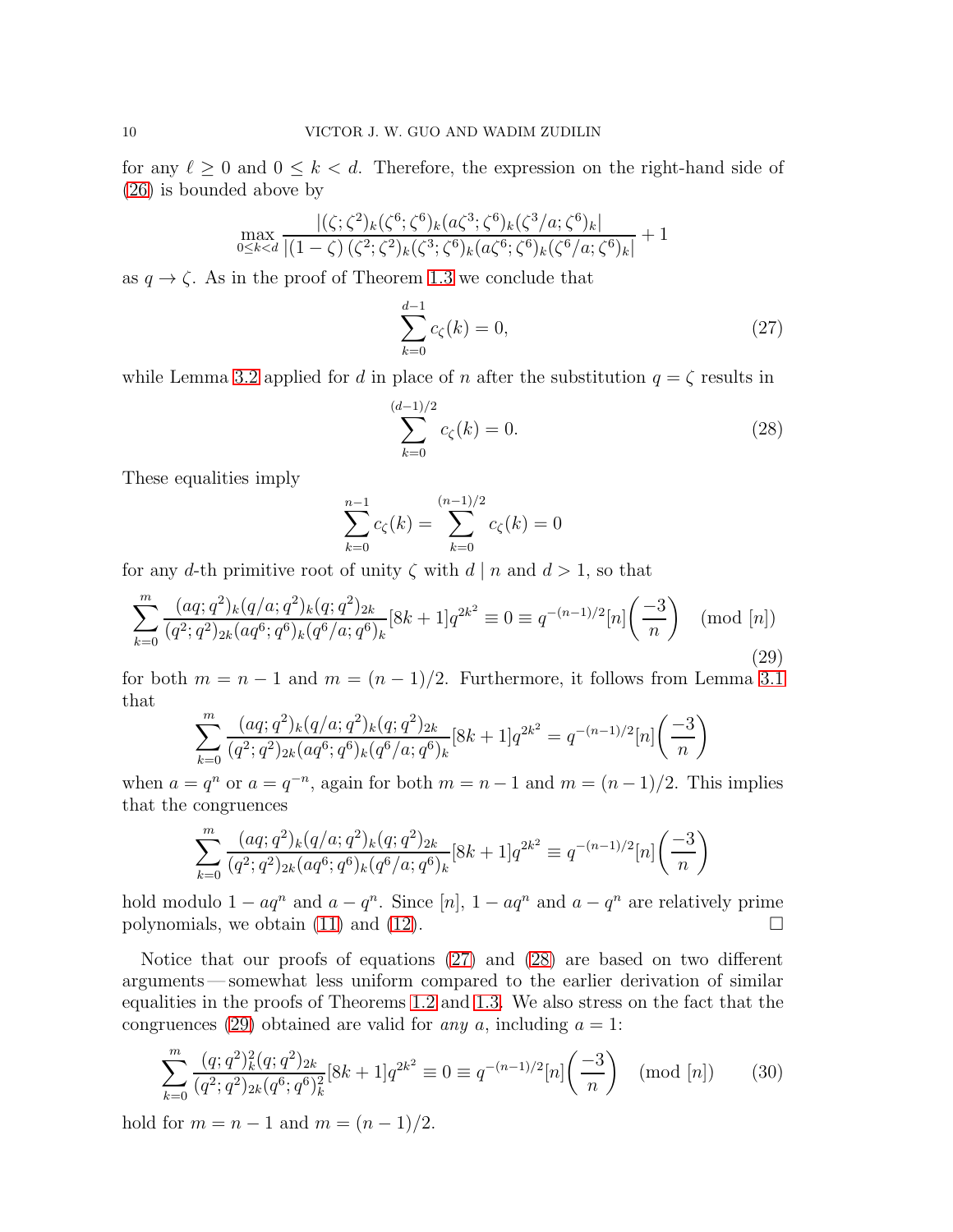for any  $\ell \geq 0$  and  $0 \leq k < d$ . Therefore, the expression on the right-hand side of [\(26\)](#page-8-0) is bounded above by

$$
\max_{0 \le k < d} \frac{|(\zeta; \zeta^2)_k(\zeta^6; \zeta^6)_k(a\zeta^3; \zeta^6)_k(\zeta^3/a; \zeta^6)_k|}{|(1-\zeta)(\zeta^2; \zeta^2)_k(\zeta^3; \zeta^6)_k(a\zeta^6; \zeta^6)_k(\zeta^6/a; \zeta^6)_k|} + 1
$$

as  $q \to \zeta$ . As in the proof of Theorem [1.3](#page-3-1) we conclude that

<span id="page-9-0"></span>
$$
\sum_{k=0}^{d-1} c_{\zeta}(k) = 0,
$$
\n(27)

while Lemma [3.2](#page-8-1) applied for d in place of n after the substitution  $q = \zeta$  results in

<span id="page-9-1"></span>
$$
\sum_{k=0}^{(d-1)/2} c_{\zeta}(k) = 0.
$$
\n(28)

These equalities imply

$$
\sum_{k=0}^{n-1} c_{\zeta}(k) = \sum_{k=0}^{(n-1)/2} c_{\zeta}(k) = 0
$$

for any d-th primitive root of unity  $\zeta$  with  $d | n$  and  $d > 1$ , so that

<span id="page-9-2"></span>
$$
\sum_{k=0}^{m} \frac{(aq;q^2)_k (q/a;q^2)_k (q;q^2)_{2k}}{(q^2;q^2)_{2k} (aq^6;q^6)_k (q^6/a;q^6)_k} [8k+1] q^{2k^2} \equiv 0 \equiv q^{-(n-1)/2} [n] \left(\frac{-3}{n}\right) \pmod{[n]}
$$
\n(29)

for both  $m = n - 1$  and  $m = (n - 1)/2$ . Furthermore, it follows from Lemma [3.1](#page-7-5) that

$$
\sum_{k=0}^{m} \frac{(aq;q^2)_k (q/a;q^2)_k (q;q^2)_{2k}}{(q^2;q^2)_{2k} (aq^6;q^6)_k (q^6/a;q^6)_k} [8k+1]q^{2k^2} = q^{-(n-1)/2} [n] \left(\frac{-3}{n}\right)
$$

when  $a = q^n$  or  $a = q^{-n}$ , again for both  $m = n - 1$  and  $m = (n - 1)/2$ . This implies that the congruences

$$
\sum_{k=0}^{m} \frac{(aq;q^2)_k (q/a;q^2)_k (q;q^2)_{2k}}{(q^2;q^2)_{2k} (aq^6;q^6)_k (q^6/a;q^6)_k} [8k+1] q^{2k^2} \equiv q^{-(n-1)/2} [n] \left(\frac{-3}{n}\right)
$$

hold modulo  $1 - aq^n$  and  $a - q^n$ . Since [n],  $1 - aq^n$  and  $a - q^n$  are relatively prime polynomials, we obtain [\(11\)](#page-3-7) and [\(12\)](#page-3-8).  $\Box$ 

Notice that our proofs of equations [\(27\)](#page-9-0) and [\(28\)](#page-9-1) are based on two different arguments— somewhat less uniform compared to the earlier derivation of similar equalities in the proofs of Theorems [1.2](#page-3-0) and [1.3.](#page-3-1) We also stress on the fact that the congruences [\(29\)](#page-9-2) obtained are valid for any a, including  $a = 1$ :

<span id="page-9-3"></span>
$$
\sum_{k=0}^{m} \frac{(q;q^2)_k^2 (q;q^2)_{2k}}{(q^2;q^2)_{2k} (q^6;q^6)_k^2} [8k+1] q^{2k^2} \equiv 0 \equiv q^{-(n-1)/2} [n] \left(\frac{-3}{n}\right) \pmod{[n]}
$$
(30)

hold for  $m = n - 1$  and  $m = (n - 1)/2$ .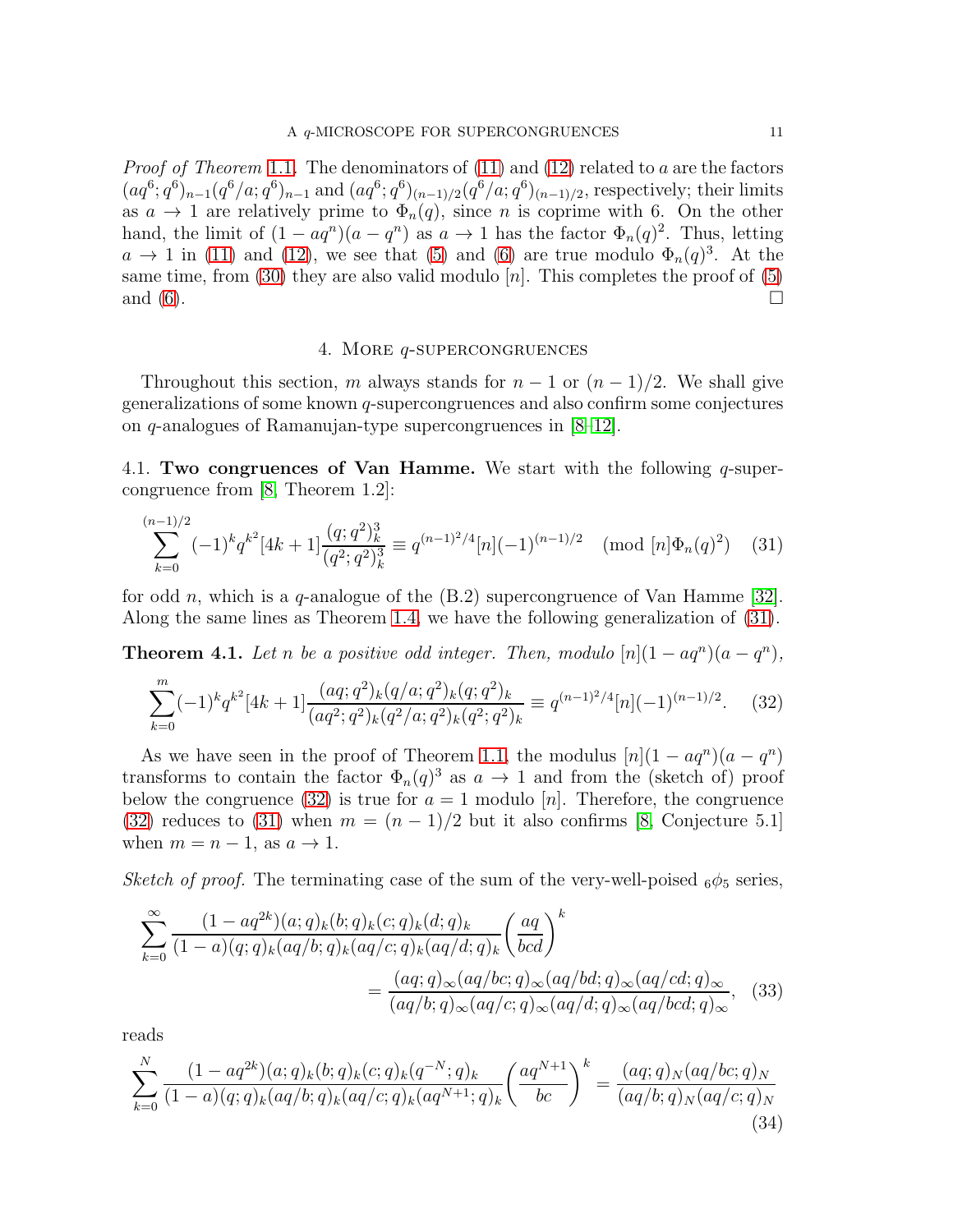*Proof of Theorem* [1.1](#page-2-0). The denominators of  $(11)$  and  $(12)$  related to a are the factors  $(aq^6; q^6)_{n-1}(q^6/a; q^6)_{n-1}$  and  $(aq^6; q^6)_{(n-1)/2}(q^6/a; q^6)_{(n-1)/2}$ , respectively; their limits as  $a \to 1$  are relatively prime to  $\Phi_n(q)$ , since n is coprime with 6. On the other hand, the limit of  $(1 - aq^n)(a - q^n)$  as  $a \to 1$  has the factor  $\Phi_n(q)^2$ . Thus, letting  $a \to 1$  in [\(11\)](#page-3-7) and [\(12\)](#page-3-8), we see that [\(5\)](#page-2-1) and [\(6\)](#page-2-2) are true modulo  $\Phi_n(q)^3$ . At the same time, from  $(30)$  they are also valid modulo [n]. This completes the proof of  $(5)$ and  $(6)$ .

## <span id="page-10-1"></span>4. More q-supercongruences

<span id="page-10-0"></span>Throughout this section, m always stands for  $n-1$  or  $(n-1)/2$ . We shall give generalizations of some known q-supercongruences and also confirm some conjectures on q-analogues of Ramanujan-type supercongruences in [\[8](#page-24-2)[–12\]](#page-24-3).

4.1. Two congruences of Van Hamme. We start with the following  $q$ -supercongruence from [\[8,](#page-24-2) Theorem 1.2]:

$$
\sum_{k=0}^{(n-1)/2} (-1)^k q^{k^2} [4k+1] \frac{(q;q^2)_k^3}{(q^2;q^2)_k^3} \equiv q^{(n-1)^2/4} [n] (-1)^{(n-1)/2} \pmod{[n] \Phi_n(q)^2} \tag{31}
$$

for odd n, which is a q-analogue of the  $(B.2)$  supercongruence of Van Hamme [\[32\]](#page-25-2). Along the same lines as Theorem [1.4,](#page-3-2) we have the following generalization of [\(31\)](#page-10-1).

**Theorem 4.1.** Let n be a positive odd integer. Then, modulo  $[n](1 - aq^n)(a - q^n)$ ,

<span id="page-10-2"></span>
$$
\sum_{k=0}^{m} (-1)^{k} q^{k^{2}} [4k+1] \frac{(aq;q^{2})_{k} (q/a;q^{2})_{k} (q;q^{2})_{k}}{(aq^{2};q^{2})_{k} (q^{2}/a;q^{2})_{k} (q^{2};q^{2})_{k}} \equiv q^{(n-1)^{2}/4} [n] (-1)^{(n-1)/2}.
$$
 (32)

As we have seen in the proof of Theorem [1.1,](#page-2-0) the modulus  $[n](1 - aq^n)(a - q^n)$ transforms to contain the factor  $\Phi_n(q)^3$  as  $a \to 1$  and from the (sketch of) proof below the congruence [\(32\)](#page-10-2) is true for  $a = 1$  modulo [n]. Therefore, the congruence [\(32\)](#page-10-2) reduces to [\(31\)](#page-10-1) when  $m = (n-1)/2$  but it also confirms [\[8,](#page-24-2) Conjecture 5.1] when  $m = n - 1$ , as  $a \rightarrow 1$ .

Sketch of proof. The terminating case of the sum of the very-well-poised  $_6\phi_5$  series,

<span id="page-10-4"></span>
$$
\sum_{k=0}^{\infty} \frac{(1-aq^{2k})(a;q)_k(b;q)_k(c;q)_k(d;q)_k}{(1-a)(q;q)_k(aq/b;q)_k(aq/c;q)_k(aq/d;q)_k} \left(\frac{aq}{bcd}\right)^k
$$

$$
= \frac{(aq;q)_{\infty}(aq/bc;q)_{\infty}(aq/bd;q)_{\infty}(aq/cd;q)_{\infty}}{(aq/b;q)_{\infty}(aq/c;q)_{\infty}(aq/d;q)_{\infty}(aq/bcd;q)_{\infty}},
$$
(33)

reads

<span id="page-10-3"></span>
$$
\sum_{k=0}^{N} \frac{(1-aq^{2k})(a;q)_k (b;q)_k (c;q)_k (q^{-N};q)_k}{(1-a)(q;q)_k (aq/b;q)_k (aq/c;q)_k (aq^{N+1};q)_k} \left(\frac{aq^{N+1}}{bc}\right)^k = \frac{(aq;q)_N (aq/bc;q)_N}{(aq/b;q)_N (aq/c;q)_N}
$$
(34)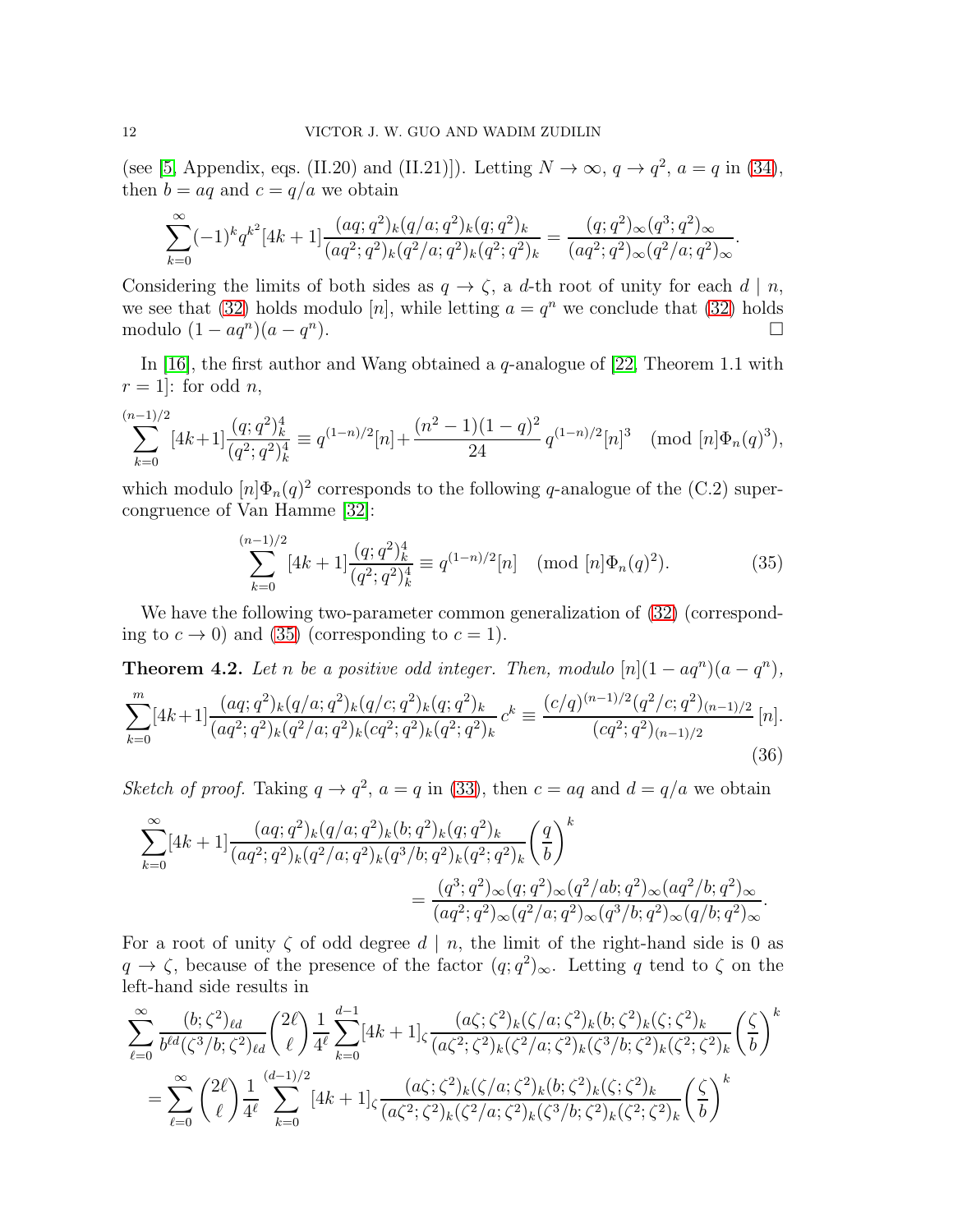(see [\[5,](#page-24-6) Appendix, eqs. (II.20) and (II.21)]). Letting  $N \to \infty$ ,  $q \to q^2$ ,  $a = q$  in [\(34\)](#page-10-3), then  $b = aq$  and  $c = q/a$  we obtain

$$
\sum_{k=0}^{\infty}(-1)^kq^{k^2}[4k+1]\frac{(aq;q^2)_k(q/a;q^2)_k(q;q^2)_k}{(aq^2;q^2)_k(q^2/a;q^2)_k(q^2;q^2)_k}=\frac{(q;q^2)_{\infty}(q^3;q^2)_{\infty}}{(aq^2;q^2)_{\infty}(q^2/a;q^2)_{\infty}}.
$$

Considering the limits of both sides as  $q \to \zeta$ , a d-th root of unity for each d | n, we see that [\(32\)](#page-10-2) holds modulo [n], while letting  $a = q^n$  we conclude that (32) holds modulo  $(1 - aq^n)(a - q^n)$ ).

In [\[16\]](#page-24-7), the first author and Wang obtained a  $q$ -analogue of [\[22,](#page-25-5) Theorem 1.1 with  $r = 1$ : for odd n,

$$
\sum_{k=0}^{(n-1)/2} [4k+1] \frac{(q;q^2)_k^4}{(q^2;q^2)_k^4} \equiv q^{(1-n)/2} [n] + \frac{(n^2-1)(1-q)^2}{24} q^{(1-n)/2} [n]^3 \pmod{[n] \Phi_n(q)^3},
$$

which modulo  $[n]\Phi_n(q)^2$  corresponds to the following q-analogue of the (C.2) supercongruence of Van Hamme [\[32\]](#page-25-2):

<span id="page-11-0"></span>
$$
\sum_{k=0}^{(n-1)/2} [4k+1] \frac{(q;q^2)_k^4}{(q^2;q^2)_k^4} \equiv q^{(1-n)/2} [n] \pmod{[n] \Phi_n(q)^2}.
$$
 (35)

We have the following two-parameter common generalization of [\(32\)](#page-10-2) (corresponding to  $c \to 0$ ) and [\(35\)](#page-11-0) (corresponding to  $c = 1$ ).

<span id="page-11-2"></span><span id="page-11-1"></span>**Theorem 4.2.** Let n be a positive odd integer. Then, modulo  $[n](1 - aq^n)(a - q^n)$ ,  $\sum_{i=1}^{m}$  $_{k=0}$  $[4k+1]$  $\frac{(aq;q^2)_k(q/a;q^2)_k(q/c;q^2)_k(q;q^2)_k}{(2k+1)(2k+1)(2k+2)(2k+2)(2k+3)}$  $(aq^2;q^2)_k(q^2/a;q^2)_k(cq^2;q^2)_k(q^2;q^2)_k$  $c^k \equiv \frac{(c/q)^{(n-1)/2} (q^2/c; q^2)_{(n-1)/2}}{(c q^2;q^2)_{(n-1)/2}}$  $(cq^2; q^2)_{(n-1)/2}$  $[n].$ (36)

Sketch of proof. Taking  $q \to q^2$ ,  $a = q$  in [\(33\)](#page-10-4), then  $c = aq$  and  $d = q/a$  we obtain

$$
\sum_{k=0}^{\infty} [4k+1] \frac{(aq;q^2)_k (q/a;q^2)_k (b;q^2)_k (q;q^2)_k}{(aq^2;q^2)_k (q^2/a;q^2)_k (q^3/b;q^2)_k (q^2;q^2)_k} \left(\frac{q}{b}\right)^k
$$
  
= 
$$
\frac{(q^3;q^2)_{\infty} (q;q^2)_{\infty} (q^2/ab;q^2)_{\infty} (aq^2/b;q^2)_{\infty}}{(aq^2;q^2)_{\infty} (q^2/a;q^2)_{\infty} (q^3/b;q^2)_{\infty} (q/b;q^2)_{\infty}}.
$$

For a root of unity  $\zeta$  of odd degree  $d \mid n$ , the limit of the right-hand side is 0 as  $q \to \zeta$ , because of the presence of the factor  $(q, q^2)_{\infty}$ . Letting q tend to  $\zeta$  on the left-hand side results in

$$
\sum_{\ell=0}^{\infty} \frac{(b;\zeta^2)_{\ell d}}{b^{\ell d}(\zeta^3/b;\zeta^2)_{\ell d}} \binom{2\ell}{\ell} \frac{1}{4^{\ell}} \sum_{k=0}^{d-1} [4k+1]_{\zeta} \frac{(a\zeta;\zeta^2)_{k}(\zeta/a;\zeta^2)_{k}(b;\zeta^2)_{k}(\zeta;\zeta^2)_{k}}{(a\zeta^2;\zeta^2)_{k}(\zeta^2/a;\zeta^2)_{k}(\zeta^3/b;\zeta^2)_{k}(\zeta^2;\zeta^2)_{k}} \binom{\zeta}{b}^{k}
$$
  
= 
$$
\sum_{\ell=0}^{\infty} \binom{2\ell}{\ell} \frac{1}{4^{\ell}} \sum_{k=0}^{(d-1)/2} [4k+1]_{\zeta} \frac{(a\zeta;\zeta^2)_{k}(\zeta/a;\zeta^2)_{k}(b;\zeta^2)_{k}(\zeta;\zeta^2)_{k}}{(a\zeta^2;\zeta^2)_{k}(\zeta^2/a;\zeta^2)_{k}(\zeta^3/b;\zeta^2)_{k}(\zeta^2;\zeta^2)_{k}} \binom{\zeta}{b}^{k}
$$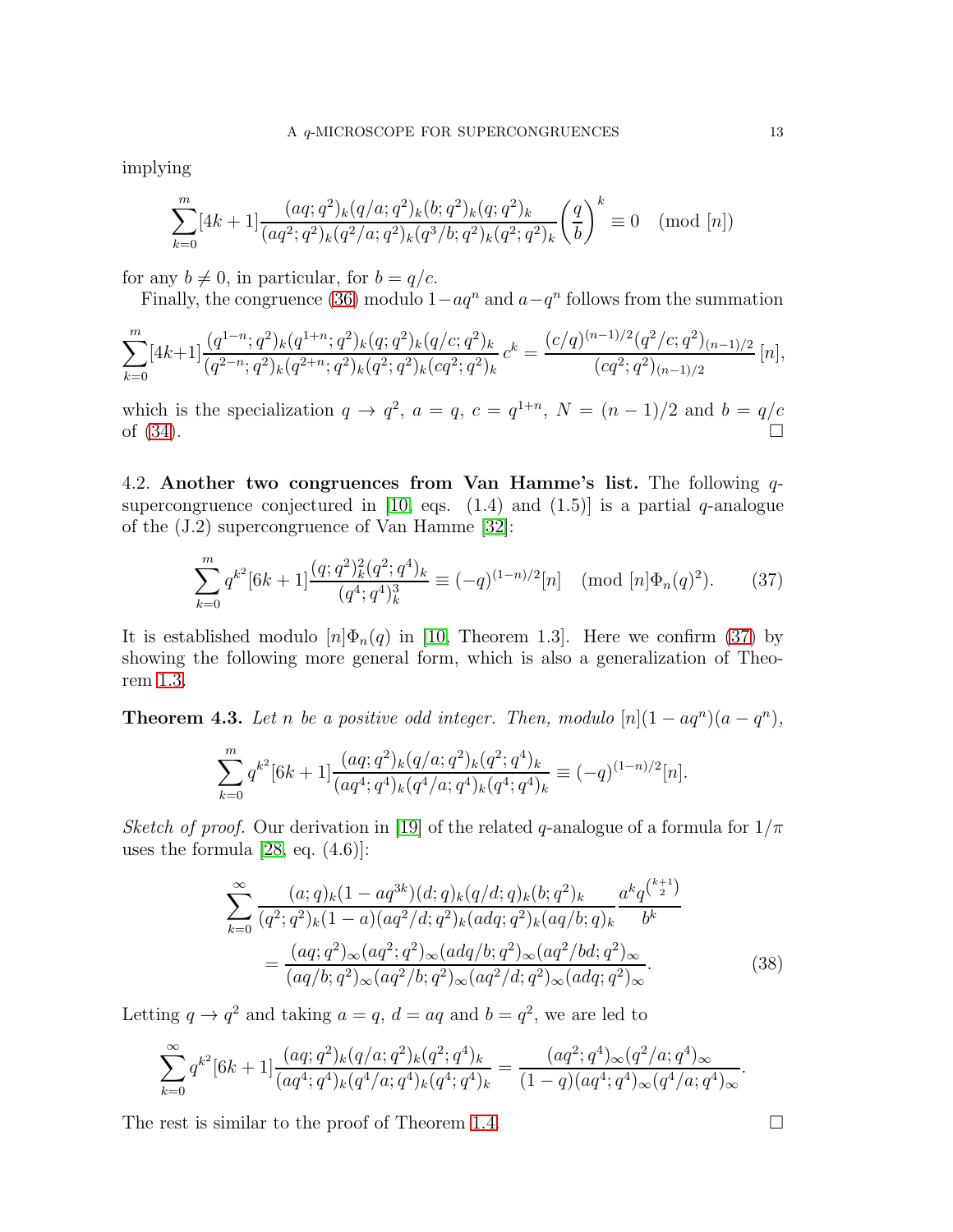implying

$$
\sum_{k=0}^{m} [4k+1] \frac{(aq;q^2)_k (q/a;q^2)_k (b;q^2)_k (q;q^2)_k}{(aq^2;q^2)_k (q^2/a;q^2)_k (q^3/b;q^2)_k (q^2;q^2)_k} \left(\frac{q}{b}\right)^k \equiv 0 \pmod{[n]}
$$

for any  $b \neq 0$ , in particular, for  $b = q/c$ .

Finally, the congruence [\(36\)](#page-11-1) modulo  $1-aq^n$  and  $a-q^n$  follows from the summation

$$
\sum_{k=0}^{m} [4k+1] \frac{(q^{1-n};q^2)_k (q^{1+n};q^2)_k (q;q^2)_k (q/c;q^2)_k}{(q^{2-n};q^2)_k (q^{2+n};q^2)_k (q^2;q^2)_k (cq^2;q^2)_k} c^k = \frac{(c/q)^{(n-1)/2} (q^2/c;q^2)_{(n-1)/2}}{(cq^2;q^2)_{(n-1)/2}} [n],
$$

which is the specialization  $q \to q^2$ ,  $a = q$ ,  $c = q^{1+n}$ ,  $N = (n-1)/2$  and  $b = q/c$ of  $(34)$ .

4.2. Another two congruences from Van Hamme's list. The following  $q$ -supercongruence conjectured in [\[10,](#page-24-8) eqs.  $(1.4)$  and  $(1.5)$ ] is a partial q-analogue of the (J.2) supercongruence of Van Hamme [\[32\]](#page-25-2):

<span id="page-12-0"></span>
$$
\sum_{k=0}^{m} q^{k^2} [6k+1] \frac{(q;q^2)_k^2 (q^2;q^4)_k}{(q^4;q^4)_k^3} \equiv (-q)^{(1-n)/2} [n] \pmod{[n] \Phi_n(q)^2}.
$$
 (37)

It is established modulo  $[n]\Phi_n(q)$  in [\[10,](#page-24-8) Theorem 1.3]. Here we confirm [\(37\)](#page-12-0) by showing the following more general form, which is also a generalization of Theorem [1.3.](#page-3-1)

<span id="page-12-2"></span>**Theorem 4.3.** Let n be a positive odd integer. Then, modulo  $[n](1 - aq^n)(a - q^n)$ ,

$$
\sum_{k=0}^{m} q^{k^2} [6k+1] \frac{(aq;q^2)_k (q/a;q^2)_k (q^2;q^4)_k}{(aq^4;q^4)_k (q^4/a;q^4)_k (q^4;q^4)_k} \equiv (-q)^{(1-n)/2} [n].
$$

Sketch of proof. Our derivation in [\[19\]](#page-25-10) of the related q-analogue of a formula for  $1/\pi$ uses the formula [\[28,](#page-25-13) eq.  $(4.6)$ ]:

$$
\sum_{k=0}^{\infty} \frac{(a;q)_k (1-aq^{3k})(d;q)_k (q/d;q)_k (b;q^2)_k}{(q^2;q^2)_k (1-a)(aq^2/d;q^2)_k (adq;q^2)_k (aq/b;q)_k} \frac{a^k q^{\binom{k+1}{2}}}{b^k}
$$

$$
= \frac{(aq;q^2)_{\infty} (aq^2;q^2)_{\infty} (adq/b;q^2)_{\infty} (aq^2/bd;q^2)_{\infty}}{(aq/b;q^2)_{\infty} (aq^2/b;q^2)_{\infty} (adq;q^2)_{\infty}}.
$$
(38)

Letting  $q \to q^2$  and taking  $a = q$ ,  $d = aq$  and  $b = q^2$ , we are led to

$$
\sum_{k=0}^{\infty} q^{k^2} [6k+1] \frac{(aq;q^2)_k (q/a;q^2)_k (q^2;q^4)_k}{(aq^4;q^4)_k (q^4/a;q^4)_k (q^4;q^4)_k} = \frac{(aq^2;q^4)_{\infty} (q^2/a;q^4)_{\infty}}{(1-q)(aq^4;q^4)_{\infty} (q^4/a;q^4)_{\infty}}.
$$

The rest is similar to the proof of Theorem [1.4.](#page-3-2)  $\Box$ 

<span id="page-12-1"></span>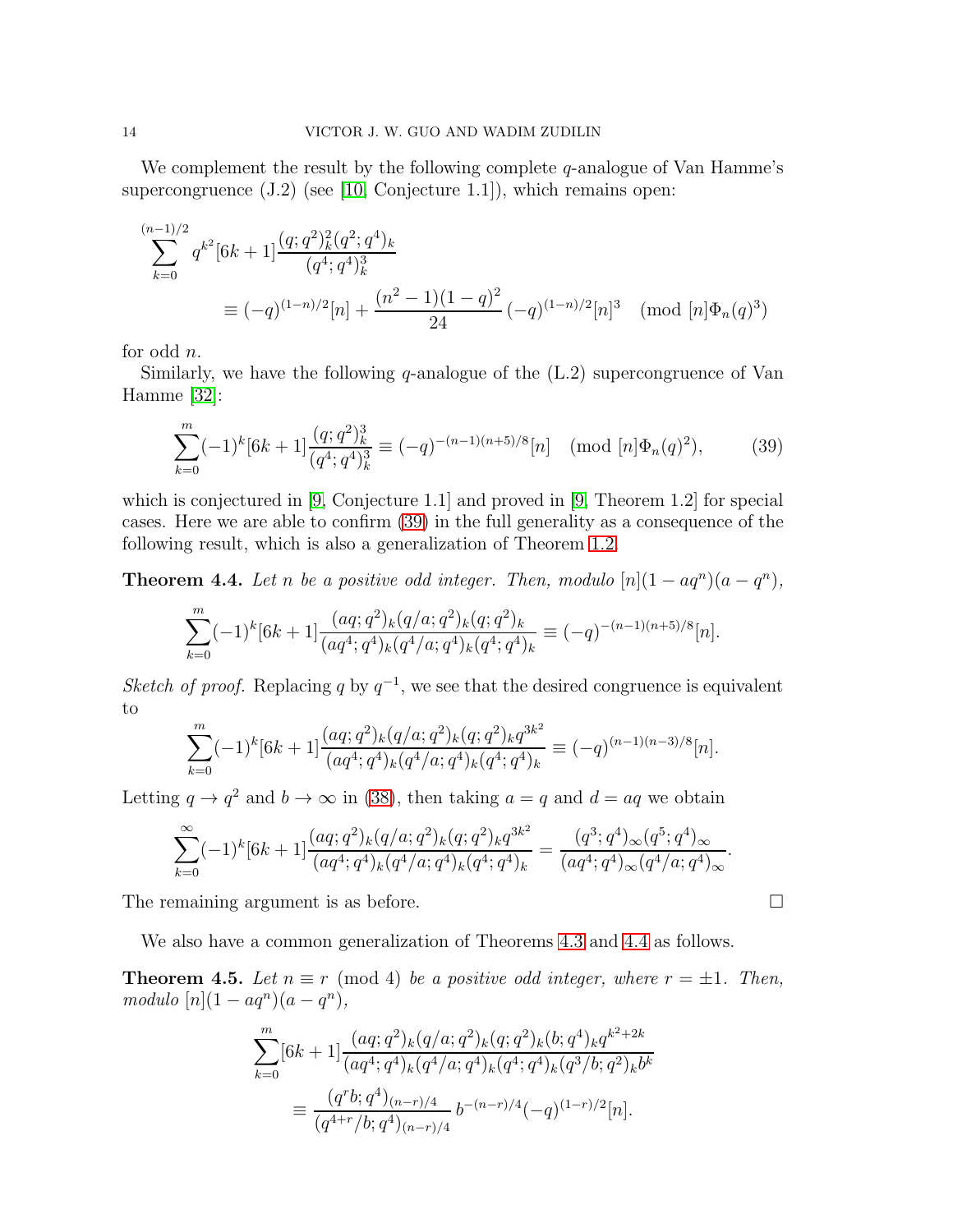We complement the result by the following complete  $q$ -analogue of Van Hamme's supercongruence (J.2) (see [\[10,](#page-24-8) Conjecture 1.1]), which remains open:

$$
\sum_{k=0}^{(n-1)/2} q^{k^2} [6k+1] \frac{(q;q^2)_k^2 (q^2;q^4)_k}{(q^4;q^4)_k^3}
$$
  
 
$$
\equiv (-q)^{(1-n)/2} [n] + \frac{(n^2-1)(1-q)^2}{24} (-q)^{(1-n)/2} [n]^3 \pmod{[n] \Phi_n(q)^3}
$$

for odd n.

Similarly, we have the following  $q$ -analogue of the  $(L.2)$  supercongruence of Van Hamme [\[32\]](#page-25-2):

<span id="page-13-0"></span>
$$
\sum_{k=0}^{m} (-1)^k [6k+1] \frac{(q;q^2)_k^3}{(q^4;q^4)_k^3} \equiv (-q)^{-(n-1)(n+5)/8} [n] \pmod{[n] \Phi_n(q)^2},\tag{39}
$$

which is conjectured in [\[9,](#page-24-9) Conjecture 1.1] and proved in [9, Theorem 1.2] for special cases. Here we are able to confirm [\(39\)](#page-13-0) in the full generality as a consequence of the following result, which is also a generalization of Theorem [1.2.](#page-3-0)

<span id="page-13-1"></span>**Theorem 4.4.** Let n be a positive odd integer. Then, modulo  $[n](1 - aq^n)(a - q^n)$ ,

$$
\sum_{k=0}^{m} (-1)^k [6k+1] \frac{(aq;q^2)_k (q/a;q^2)_k (q;q^2)_k}{(aq^4;q^4)_k (q^4/a;q^4)_k (q^4;q^4)_k} \equiv (-q)^{-(n-1)(n+5)/8} [n].
$$

Sketch of proof. Replacing q by  $q^{-1}$ , we see that the desired congruence is equivalent to

$$
\sum_{k=0}^{m} (-1)^k [6k+1] \frac{(aq;q^2)_k (q/a;q^2)_k (q;q^2)_k q^{3k^2}}{(aq^4;q^4)_k (q^4/a;q^4)_k (q^4;q^4)_k} \equiv (-q)^{(n-1)(n-3)/8} [n].
$$

Letting  $q \to q^2$  and  $b \to \infty$  in [\(38\)](#page-12-1), then taking  $a = q$  and  $d = aq$  we obtain

$$
\sum_{k=0}^{\infty} (-1)^k [6k+1] \frac{(aq;q^2)_k (q/a;q^2)_k (q;q^2)_k q^{3k^2}}{(aq^4;q^4)_k (q^4/a;q^4)_k (q^4;q^4)_k} = \frac{(q^3;q^4)_{\infty} (q^5;q^4)_{\infty}}{(aq^4;q^4)_{\infty} (q^4/a;q^4)_{\infty}}.
$$

The remaining argument is as before.

We also have a common generalization of Theorems [4.3](#page-12-2) and [4.4](#page-13-1) as follows.

**Theorem 4.5.** Let  $n \equiv r \pmod{4}$  be a positive odd integer, where  $r = \pm 1$ . Then,  $modulo [n](1-aq^n)(a-q^n),$ 

$$
\sum_{k=0}^{m} [6k+1] \frac{(aq;q^2)_k (q/a;q^2)_k (q;q^2)_k (b;q^4)_k q^{k^2+2k}}{(aq^4;q^4)_k (q^4/a;q^4)_k (q^4;q^4)_k (q^3/b;q^2)_k b^k}
$$
  

$$
\equiv \frac{(q^r b;q^4)_{(n-r)/4}}{(q^{4+r}/b;q^4)_{(n-r)/4}} b^{-(n-r)/4} (-q)^{(1-r)/2} [n].
$$

$$
\qquad \qquad \Box
$$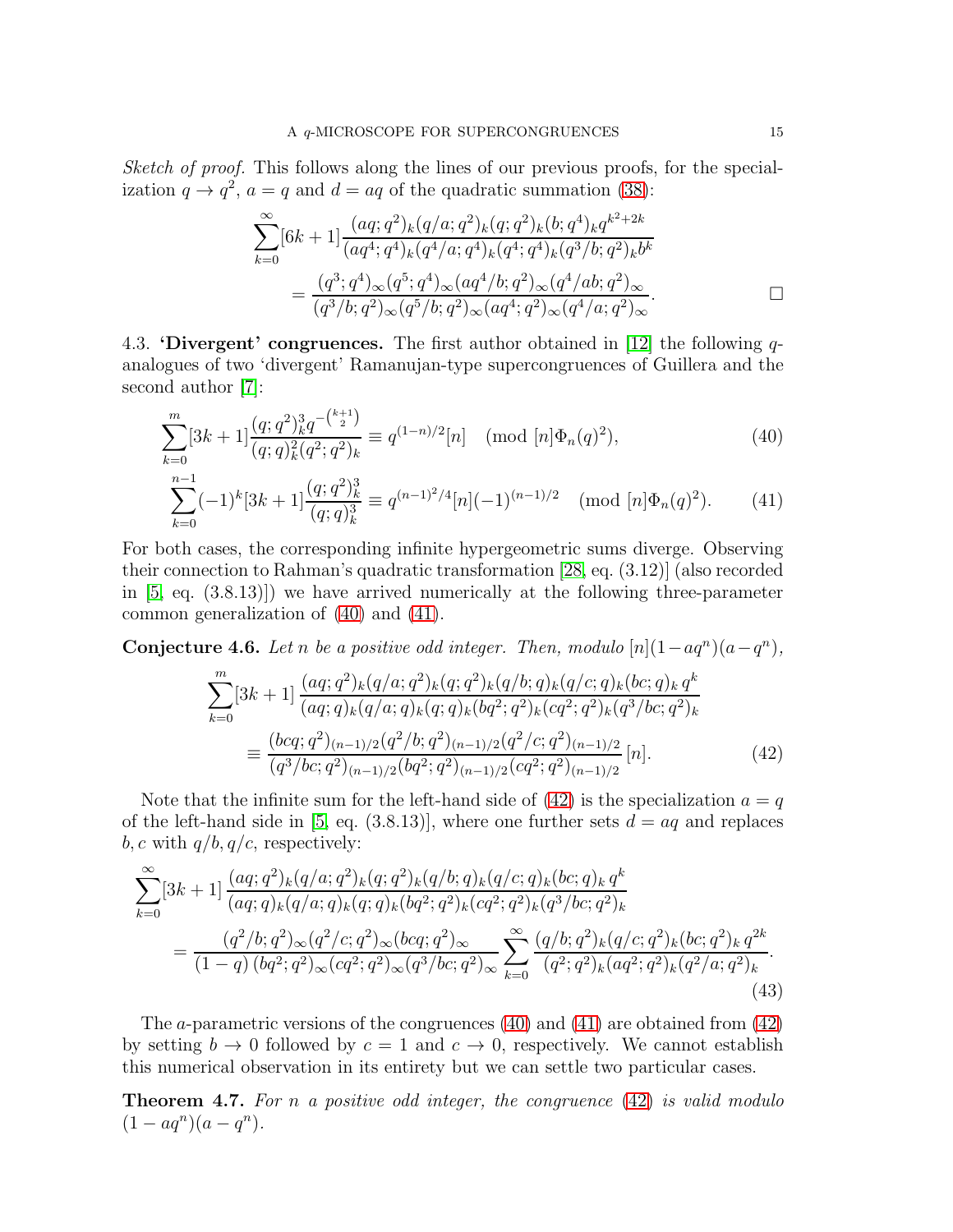Sketch of proof. This follows along the lines of our previous proofs, for the specialization  $q \to q^2$ ,  $a = q$  and  $d = aq$  of the quadratic summation [\(38\)](#page-12-1):

<span id="page-14-1"></span><span id="page-14-0"></span>
$$
\sum_{k=0}^{\infty} [6k+1] \frac{(aq;q^2)_k (q/a;q^2)_k (q;q^2)_k (b;q^4)_k q^{k^2+2k}}{(aq^4;q^4)_k (q^4/a;q^4)_k (q^4;q^4)_k (q^3/b;q^2)_k b^k}
$$
  
= 
$$
\frac{(q^3;q^4)_{\infty} (q^5;q^4)_{\infty} (aq^4/b;q^2)_{\infty} (q^4/ab;q^2)_{\infty}}{(q^3/b;q^2)_{\infty} (q^5/b;q^2)_{\infty} (aq^4;q^2)_{\infty} (q^4/a;q^2)_{\infty}}.
$$

4.3. **'Divergent' congruences.** The first author obtained in [\[12\]](#page-24-3) the following  $q$ analogues of two 'divergent' Ramanujan-type supercongruences of Guillera and the second author [\[7\]](#page-24-0):

$$
\sum_{k=0}^{m} [3k+1] \frac{(q;q^2)_k^3 q^{-\binom{k+1}{2}}}{(q;q)_k^2 (q^2;q^2)_k} \equiv q^{(1-n)/2} [n] \pmod{[n] \Phi_n(q)^2},\tag{40}
$$

$$
\sum_{k=0}^{n-1}(-1)^k[3k+1]\frac{(q;q^2)_k^3}{(q;q)_k^3} \equiv q^{(n-1)^2/4}[n](-1)^{(n-1)/2} \pmod{[n]\Phi_n(q)^2}.
$$
 (41)

For both cases, the corresponding infinite hypergeometric sums diverge. Observing their connection to Rahman's quadratic transformation [\[28,](#page-25-13) eq. (3.12)] (also recorded in [\[5,](#page-24-6) eq. (3.8.13)]) we have arrived numerically at the following three-parameter common generalization of [\(40\)](#page-14-0) and [\(41\)](#page-14-1).

<span id="page-14-3"></span>**Conjecture 4.6.** Let n be a positive odd integer. Then, modulo  $[n](1 - aq^n)(a - q^n)$ ,

<span id="page-14-5"></span><span id="page-14-2"></span>
$$
\sum_{k=0}^{m} [3k+1] \frac{(aq;q^2)_k (q/a;q^2)_k (q;q)_k (q/b;q)_k (q/c;q)_k (bc;q)_k q^k}{(aq;q)_k (q/a;q)_k (q;q)_k (bq^2;q^2)_k (cq^2;q^2)_k (q^3/bc;q^2)_k}
$$

$$
\equiv \frac{(bcq;q^2)_{(n-1)/2} (q^2/b;q^2)_{(n-1)/2} (q^2/c;q^2)_{(n-1)/2}}{(q^3/bc;q^2)_{(n-1)/2} (bq^2;q^2)_{(n-1)/2} (cq^2;q^2)_{(n-1)/2}} [n].
$$
(42)

Note that the infinite sum for the left-hand side of  $(42)$  is the specialization  $a = q$ of the left-hand side in [\[5,](#page-24-6) eq. (3.8.13)], where one further sets  $d = aq$  and replaces  $b, c$  with  $q/b, q/c$ , respectively:

$$
\sum_{k=0}^{\infty} [3k+1] \frac{(aq;q^2)_k (q/a;q^2)_k (q;q^2)_k (q/b;q)_k (q/c;q)_k (bc;q)_k q^k}{(aq;q)_k (q/a;q)_k (q;q)_k (bq^2;q^2)_k (cq^2;q^2)_k (q^3/bc;q^2)_k}
$$
  
= 
$$
\frac{(q^2/b;q^2)_{\infty} (q^2/c;q^2)_{\infty} (bcq;q^2)_{\infty}}{(1-q) (bq^2;q^2)_{\infty} (cq^2;q^2)_{\infty} (q^3/bc;q^2)_{\infty}} \sum_{k=0}^{\infty} \frac{(q/b;q^2)_k (q/c;q^2)_k (bc;q^2)_k q^{2k}}{(q^2;q^2)_k (aq^2;q^2)_k (q^2/a;q^2)_k}.
$$
  
(43)

The *a*-parametric versions of the congruences  $(40)$  and  $(41)$  are obtained from  $(42)$ by setting  $b \to 0$  followed by  $c = 1$  and  $c \to 0$ , respectively. We cannot establish this numerical observation in its entirety but we can settle two particular cases.

<span id="page-14-4"></span>**Theorem 4.7.** For n a positive odd integer, the congruence  $(42)$  is valid modulo  $(1 - aq^n)(a - q^n).$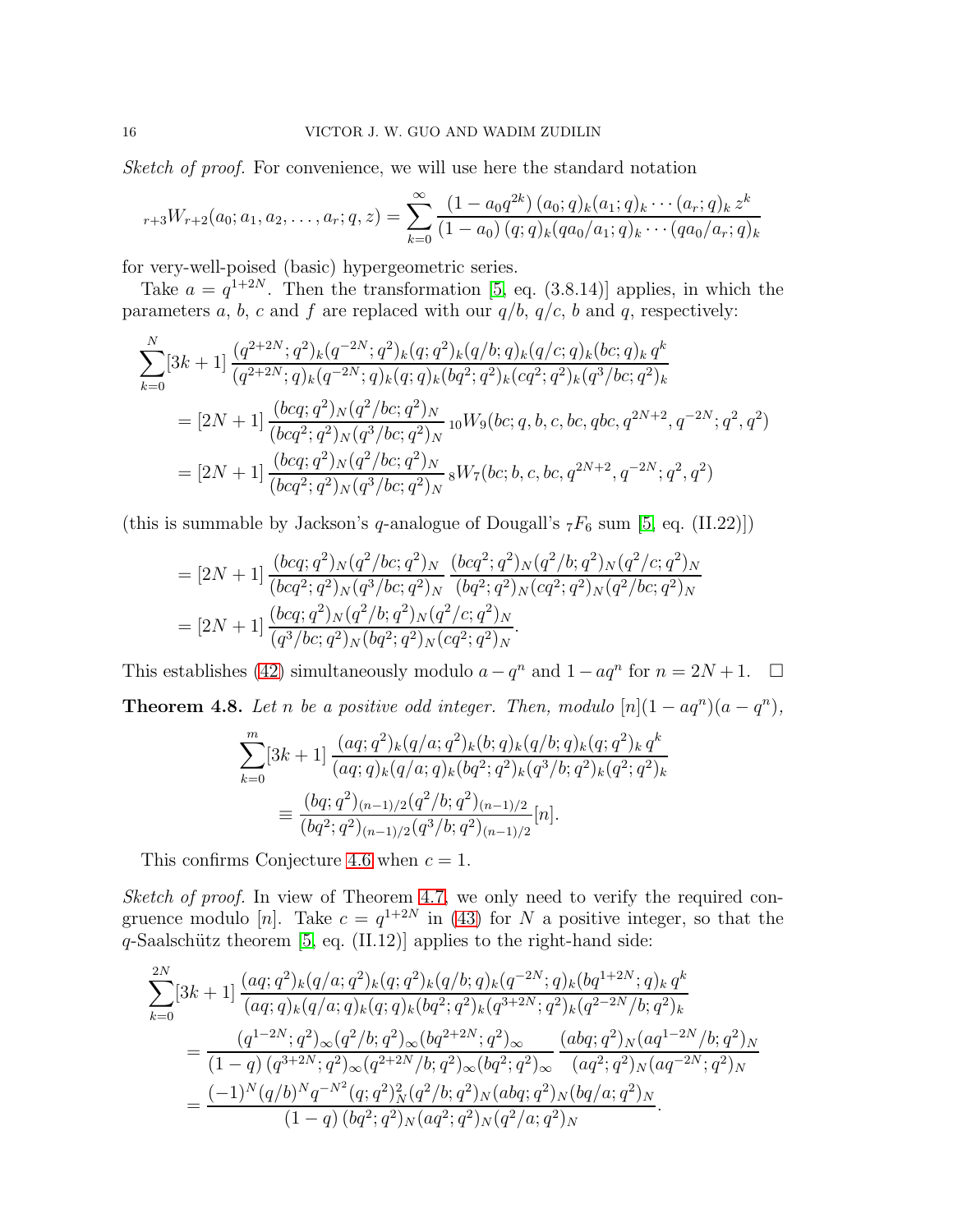Sketch of proof. For convenience, we will use here the standard notation

$$
{}_{r+3}W_{r+2}(a_0; a_1, a_2, \ldots, a_r; q, z) = \sum_{k=0}^{\infty} \frac{(1 - a_0 q^{2k}) (a_0; q)_k (a_1; q)_k \cdots (a_r; q)_k z^k}{(1 - a_0) (q; q)_k (q a_0 / a_1; q)_k \cdots (q a_0 / a_r; q)_k}
$$

for very-well-poised (basic) hypergeometric series.

Take  $a = q^{1+2N}$ . Then the transformation [\[5,](#page-24-6) eq. (3.8.14)] applies, in which the parameters a, b, c and f are replaced with our  $q/b$ ,  $q/c$ , b and q, respectively:

$$
\sum_{k=0}^{N} [3k+1] \frac{(q^{2+2N};q^2)_k (q^{-2N};q^2)_k (q;q^2)_k (q/b;q)_k (q/c;q)_k (bc;q)_k q^k}{(q^{2+2N};q)_k (q^{-2N};q)_k (q;q)_k (bq^2;q^2)_k (cq^2;q^2)_k (q^3/bc;q^2)_k}
$$
  
=  $[2N+1] \frac{(bcq;q^2)_N (q^2/bc;q^2)_N}{(bcq^2;q^2)_N (q^3/bc;q^2)_N}$   ${}_{10}W_9(bc;q,b,c,bc,qbc,q^{2N+2},q^{-2N};q^2,q^2)$   
=  $[2N+1] \frac{(bcq;q^2)_N (q^2/bc;q^2)_N}{(bcq^2;q^2)_N (q^3/bc;q^2)_N}$   ${}_{8}W_7(bc;b,c,bc,q^{2N+2},q^{-2N};q^2,q^2)$ 

(this is summable by Jackson's q-analogue of Dougall's  $_7F_6$  sum [\[5,](#page-24-6) eq. (II.22)])

$$
= [2N+1] \frac{(bcq;q^2)_N (q^2/bc;q^2)_N}{(bcq^2;q^2)_N (q^3/bc;q^2)_N} \frac{(bcq^2;q^2)_N (q^2/b;q^2)_N (q^2/c;q^2)_N}{(bq^2;q^2)_N (cq^2;q^2)_N (q^2/bc;q^2)_N}
$$
  
= 
$$
[2N+1] \frac{(bcq;q^2)_N (q^2/b;q^2)_N (q^2/c;q^2)_N}{(q^3/bc;q^2)_N (bq^2;q^2)_N (cq^2;q^2)_N}.
$$

<span id="page-15-0"></span>This establishes [\(42\)](#page-14-2) simultaneously modulo  $a - q^n$  and  $1 - aq^n$  for  $n = 2N + 1$ .  $\Box$ **Theorem 4.8.** Let n be a positive odd integer. Then, modulo  $[n](1 - aq^n)(a - q^n)$ ,

$$
\sum_{k=0}^{m} [3k+1] \frac{(aq;q^2)_k (q/a;q^2)_k (b;q)_k (q/b;q)_k (q;q^2)_k q^k}{(aq;q)_k (q/a;q)_k (bq^2;q^2)_k (q^3/b;q^2)_k (q^2;q^2)_k}
$$

$$
\equiv \frac{(bq;q^2)_{(n-1)/2} (q^2/b;q^2)_{(n-1)/2}}{(bq^2;q^2)_{(n-1)/2} (q^3/b;q^2)_{(n-1)/2}} [n].
$$

This confirms Conjecture [4.6](#page-14-3) when  $c = 1$ .

Sketch of proof. In view of Theorem [4.7,](#page-14-4) we only need to verify the required congruence modulo [n]. Take  $c = q^{1+2N}$  in [\(43\)](#page-14-5) for N a positive integer, so that the  $q$ -Saalschütz theorem [\[5,](#page-24-6) eq. (II.12)] applies to the right-hand side:

$$
\sum_{k=0}^{2N} [3k+1] \frac{(aq;q^2)_k (q/a;q^2)_k (q;q^2)_k (q/b;q)_k (q^{-2N};q)_k (bq^{1+2N};q)_k q^k}{(aq;q)_k (q/a;q)_k (q;q)_k (bq^2;q^2)_k (q^{3+2N};q^2)_k (q^{2-2N}/b;q^2)_k}
$$
  
= 
$$
\frac{(q^{1-2N};q^2)_{\infty} (q^2/b;q^2)_{\infty} (bq^{2+2N};q^2)_{\infty}}{(1-q) (q^{3+2N};q^2)_{\infty} (q^{2+2N}/b;q^2)_{\infty} (bq^2;q^2)_{\infty}} \frac{(abq;q^2)_N (aq^{1-2N}/b;q^2)_N}{(aq^2;q^2)_N (aq^{-2N};q^2)_N}
$$
  
= 
$$
\frac{(-1)^N (q/b)^N q^{-N^2} (q;q^2)_N^2 (q^2/b;q^2)_N (abq;q^2)_N (bq/a;q^2)_N}{(1-q) (bq^2;q^2)_N (aq^2;q^2)_N (q^2/a;q^2)_N}.
$$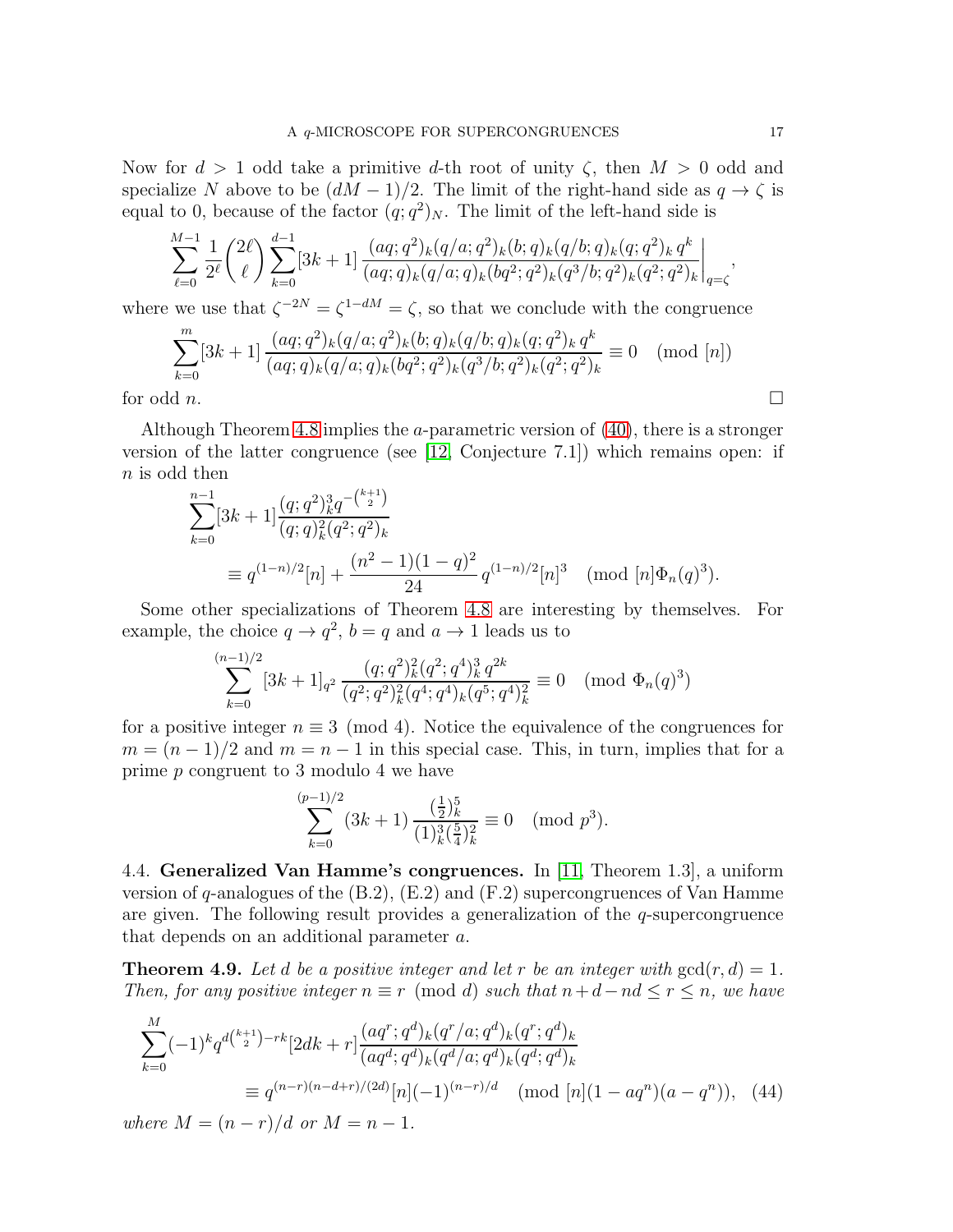Now for  $d > 1$  odd take a primitive d-th root of unity  $\zeta$ , then  $M > 0$  odd and specialize N above to be  $(dM-1)/2$ . The limit of the right-hand side as  $q \to \zeta$  is equal to 0, because of the factor  $(q; q^2)_N$ . The limit of the left-hand side is

$$
\sum_{\ell=0}^{M-1} \frac{1}{2^{\ell}} {\binom{2\ell}{\ell}} \sum_{k=0}^{d-1} [3k+1] \frac{(aq;q^2)_k (q/a;q^2)_k (b;q)_k (q/b;q)_k (q;q^2)_k q^k}{(aq;q)_k (q/a;q)_k (bq^2;q^2)_k (q^3/b;q^2)_k (q^2;q^2)_k} \bigg|_{q=\zeta},
$$

where we use that  $\zeta^{-2N} = \zeta^{1-dM} = \zeta$ , so that we conclude with the congruence

$$
\sum_{k=0}^{m} [3k+1] \frac{(aq;q^2)_k (q/a;q^2)_k (b;q)_k (q/b;q)_k (q;q^2)_k q^k}{(aq;q)_k (q/a;q)_k (bq^2;q^2)_k (q^3/b;q^2)_k (q^2;q^2)_k} \equiv 0 \pmod{[n]}
$$
\nfor odd *n*.

Although Theorem [4.8](#page-15-0) implies the a-parametric version of [\(40\)](#page-14-0), there is a stronger version of the latter congruence (see [\[12,](#page-24-3) Conjecture 7.1]) which remains open: if n is odd then

$$
\sum_{k=0}^{n-1} [3k+1] \frac{(q;q^2)_k^3 q^{-\binom{k+1}{2}}}{(q;q)_k^2 (q^2;q^2)_k}
$$
  
\n
$$
\equiv q^{(1-n)/2}[n] + \frac{(n^2-1)(1-q)^2}{24} q^{(1-n)/2}[n]^3 \pmod{[n]\Phi_n(q)^3}.
$$

Some other specializations of Theorem [4.8](#page-15-0) are interesting by themselves. For example, the choice  $q \to q^2$ ,  $b = q$  and  $a \to 1$  leads us to

$$
\sum_{k=0}^{(n-1)/2} [3k+1]_{q^2} \frac{(q;q^2)_k^2 (q^2;q^4)_k^3 q^{2k}}{(q^2;q^2)_k^2 (q^4;q^4)_k (q^5;q^4)_k^2} \equiv 0 \pmod{\Phi_n(q)^3}
$$

for a positive integer  $n \equiv 3 \pmod{4}$ . Notice the equivalence of the congruences for  $m = (n-1)/2$  and  $m = n-1$  in this special case. This, in turn, implies that for a prime p congruent to 3 modulo 4 we have

<span id="page-16-0"></span>
$$
\sum_{k=0}^{(p-1)/2} (3k+1) \, \frac{\left(\frac{1}{2}\right)_k^5}{(1)_k^3 \left(\frac{5}{4}\right)_k^2} \equiv 0 \pmod{p^3}.
$$

4.4. Generalized Van Hamme's congruences. In [\[11,](#page-24-10) Theorem 1.3], a uniform version of q-analogues of the  $(B.2)$ ,  $(E.2)$  and  $(F.2)$  supercongruences of Van Hamme are given. The following result provides a generalization of the  $q$ -supercongruence that depends on an additional parameter a.

**Theorem 4.9.** Let d be a positive integer and let r be an integer with  $gcd(r, d) = 1$ . Then, for any positive integer  $n \equiv r \pmod{d}$  such that  $n+d-nd \leq r \leq n$ , we have

$$
\sum_{k=0}^{M} (-1)^{k} q^{d\binom{k+1}{2}-rk} [2dk+r] \frac{(aq^{r}; q^{d})_{k} (q^{r}/a; q^{d})_{k} (q^{r}; q^{d})_{k}}{(aq^{d}; q^{d})_{k} (q^{d}/a; q^{d})_{k} (q^{d}; q^{d})_{k}}
$$
\n
$$
\equiv q^{(n-r)(n-d+r)/(2d)} [n] (-1)^{(n-r)/d} \pmod{[n](1-aq^{n})(a-q^{n})}, \quad (44)
$$

where  $M = (n - r)/d$  or  $M = n - 1$ .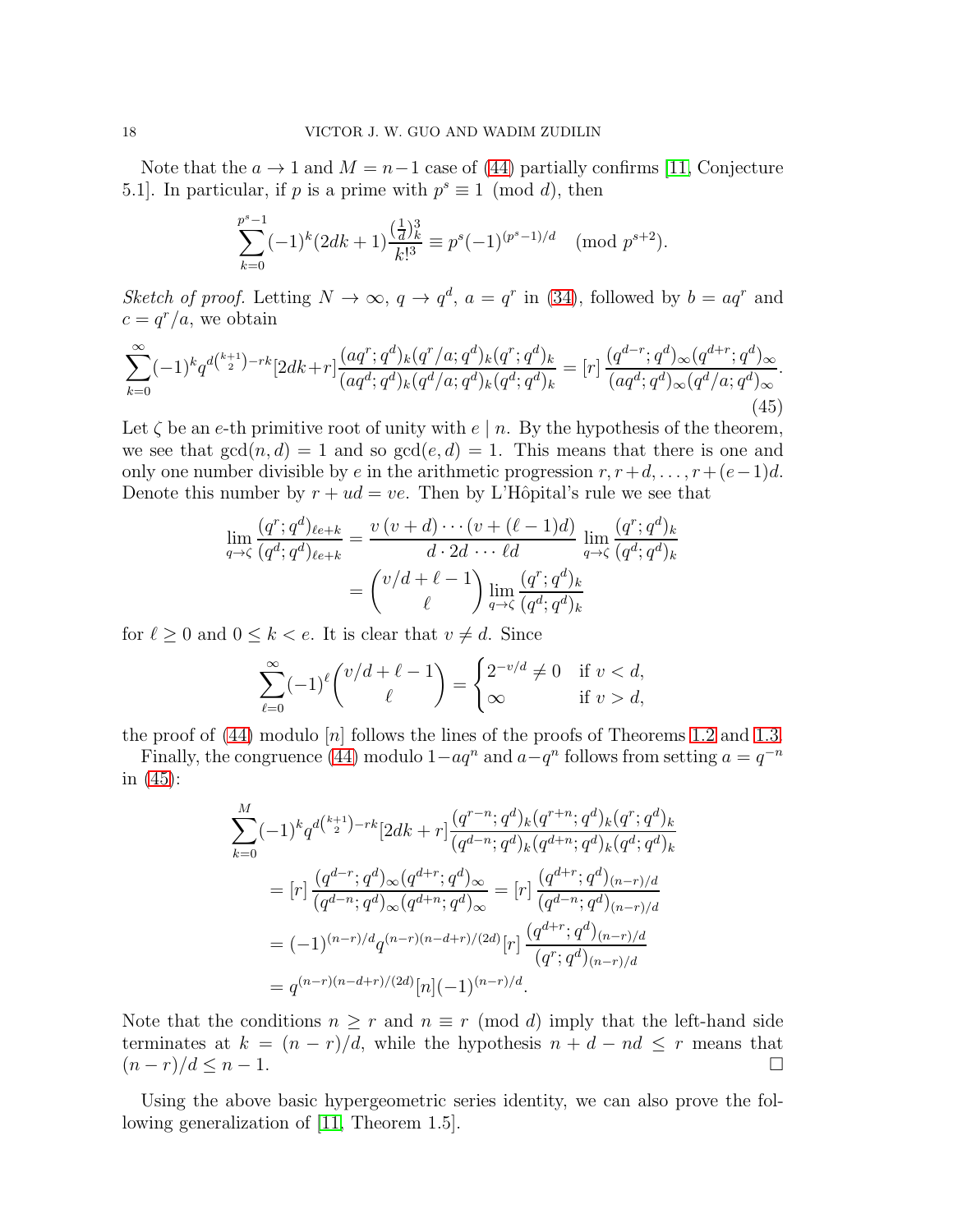Note that the  $a \to 1$  and  $M = n-1$  case of [\(44\)](#page-16-0) partially confirms [\[11,](#page-24-10) Conjecture 5.1]. In particular, if  $p$  is a prime with  $p^s \equiv 1 \pmod{d}$ , then

$$
\sum_{k=0}^{p^s-1}(-1)^k(2dk+1)\frac{(\frac{1}{d})_k^3}{k!^3} \equiv p^s(-1)^{(p^s-1)/d} \pmod{p^{s+2}}.
$$

Sketch of proof. Letting  $N \to \infty$ ,  $q \to q^d$ ,  $a = q^r$  in [\(34\)](#page-10-3), followed by  $b = aq^r$  and  $c = q^r/a$ , we obtain

<span id="page-17-0"></span>
$$
\sum_{k=0}^{\infty} (-1)^k q^{d\binom{k+1}{2}-rk} [2dk+r] \frac{(aq^r;q^d)_k (q^r/a;q^d)_k (q^r;q^d)_k}{(aq^d;q^d)_k (q^d/a;q^d)_k (q^d;q^d)_k} = [r] \frac{(q^{d-r};q^d)_{\infty} (q^{d+r};q^d)_{\infty}}{(aq^d;q^d)_{\infty} (q^d/a;q^d)_{\infty}}.
$$
\n(45)

Let  $\zeta$  be an e-th primitive root of unity with  $e \mid n$ . By the hypothesis of the theorem, we see that  $gcd(n, d) = 1$  and so  $gcd(e, d) = 1$ . This means that there is one and only one number divisible by e in the arithmetic progression  $r, r+d, \ldots, r+(e-1)d$ . Denote this number by  $r + ud = ve$ . Then by L'Hôpital's rule we see that

$$
\lim_{q \to \zeta} \frac{(q^r; q^d)_{\ell e + k}}{(q^d; q^d)_{\ell e + k}} = \frac{v (v + d) \cdots (v + (\ell - 1)d)}{d \cdot 2d \cdots \ell d} \lim_{q \to \zeta} \frac{(q^r; q^d)_k}{(q^d; q^d)_k}
$$

$$
= {v/d + \ell - 1 \choose \ell} \lim_{q \to \zeta} \frac{(q^r; q^d)_k}{(q^d; q^d)_k}
$$

for  $\ell \geq 0$  and  $0 \leq k < e$ . It is clear that  $v \neq d$ . Since

$$
\sum_{\ell=0}^{\infty} (-1)^{\ell} \binom{v/d+\ell-1}{\ell} = \begin{cases} 2^{-v/d} \neq 0 & \text{if } v < d, \\ \infty & \text{if } v > d, \end{cases}
$$

the proof of  $(44)$  modulo  $[n]$  follows the lines of the proofs of Theorems [1.2](#page-3-0) and [1.3.](#page-3-1)

Finally, the congruence [\(44\)](#page-16-0) modulo  $1-aq^n$  and  $a-q^n$  follows from setting  $a = q^{-n}$ in [\(45\)](#page-17-0):

$$
\sum_{k=0}^{M} (-1)^{k} q^{d\binom{k+1}{2}-rk} [2dk+r] \frac{(q^{r-n};q^{d})_{k}(q^{r+n};q^{d})_{k}(q^{r};q^{d})_{k}}{(q^{d-n};q^{d})_{k}(q^{d+n};q^{d})_{k}(q^{d};q^{d})_{k}}
$$
\n
$$
= [r] \frac{(q^{d-r};q^{d})_{\infty}(q^{d+r};q^{d})_{\infty}}{(q^{d-n};q^{d})_{\infty}(q^{d+n};q^{d})_{\infty}} = [r] \frac{(q^{d+r};q^{d})_{(n-r)/d}}{(q^{d-n};q^{d})_{(n-r)/d}}
$$
\n
$$
= (-1)^{(n-r)/d} q^{(n-r)(n-d+r)/(2d)} [r] \frac{(q^{d+r};q^{d})_{(n-r)/d}}{(q^{r};q^{d})_{(n-r)/d}}
$$
\n
$$
= q^{(n-r)(n-d+r)/(2d)} [n] (-1)^{(n-r)/d}.
$$

Note that the conditions  $n \geq r$  and  $n \equiv r \pmod{d}$  imply that the left-hand side terminates at  $k = (n - r)/d$ , while the hypothesis  $n + d - nd \leq r$  means that  $(n - r)/d \leq n - 1$ .  $(n - r)/d \leq n - 1$ .

Using the above basic hypergeometric series identity, we can also prove the following generalization of [\[11,](#page-24-10) Theorem 1.5].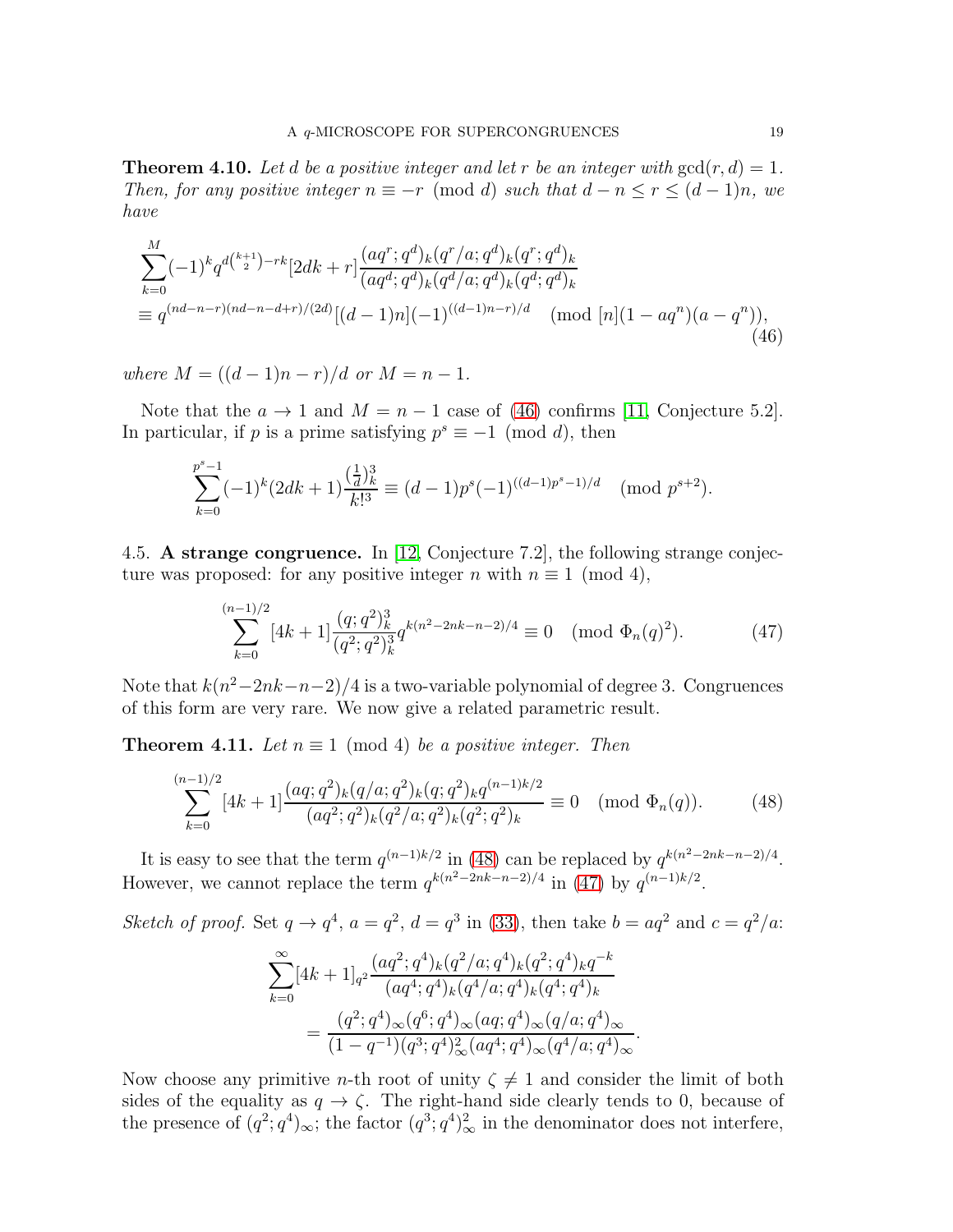**Theorem 4.10.** Let d be a positive integer and let r be an integer with  $gcd(r, d) = 1$ . Then, for any positive integer  $n \equiv -r \pmod{d}$  such that  $d - n \le r \le (d - 1)n$ , we have

$$
\sum_{k=0}^{M} (-1)^k q^{d\binom{k+1}{2}-rk} [2dk+r] \frac{(aq^r;q^d)_k (q^r/a;q^d)_k (q^r;q^d)_k}{(aq^d;q^d)_k (q^d/a;q^d)_k (q^d;q^d)_k}
$$
\n
$$
\equiv q^{(nd-n-r)(nd-n-d+r)/(2d)} [(d-1)n] (-1)^{((d-1)n-r)/d} \pmod{[n](1-aq^n)(a-q^n)},
$$
\n(46)

where  $M = ((d-1)n - r)/d$  or  $M = n - 1$ .

Note that the  $a \to 1$  and  $M = n - 1$  case of [\(46\)](#page-18-0) confirms [\[11,](#page-24-10) Conjecture 5.2]. In particular, if p is a prime satisfying  $p^s \equiv -1 \pmod{d}$ , then

<span id="page-18-0"></span>
$$
\sum_{k=0}^{p^s-1}(-1)^k(2dk+1)\frac{(\frac{1}{d})_k^3}{k!^3} \equiv (d-1)p^s(-1)^{((d-1)p^s-1)/d} \pmod{p^{s+2}}.
$$

4.5. A strange congruence. In [\[12,](#page-24-3) Conjecture 7.2], the following strange conjecture was proposed: for any positive integer n with  $n \equiv 1 \pmod{4}$ ,

<span id="page-18-2"></span>
$$
\sum_{k=0}^{(n-1)/2} [4k+1] \frac{(q;q^2)_k^3}{(q^2;q^2)_k^3} q^{k(n^2-2nk-n-2)/4} \equiv 0 \pmod{\Phi_n(q)^2}.
$$
 (47)

Note that  $k(n^2-2nk-n-2)/4$  is a two-variable polynomial of degree 3. Congruences of this form are very rare. We now give a related parametric result.

**Theorem 4.11.** Let  $n \equiv 1 \pmod{4}$  be a positive integer. Then

<span id="page-18-1"></span>
$$
\sum_{k=0}^{(n-1)/2} [4k+1] \frac{(aq;q^2)_k (q/a;q^2)_k (q;q^2)_k q^{(n-1)k/2}}{(aq^2;q^2)_k (q^2/a;q^2)_k (q^2;q^2)_k} \equiv 0 \pmod{\Phi_n(q)}.
$$
 (48)

It is easy to see that the term  $q^{(n-1)k/2}$  in [\(48\)](#page-18-1) can be replaced by  $q^{k(n^2-2nk-n-2)/4}$ . However, we cannot replace the term  $q^{k(n^2-2nk-n-2)/4}$  in [\(47\)](#page-18-2) by  $q^{(n-1)k/2}$ .

Sketch of proof. Set  $q \to q^4$ ,  $a = q^2$ ,  $d = q^3$  in [\(33\)](#page-10-4), then take  $b = aq^2$  and  $c = q^2/a$ :

$$
\sum_{k=0}^{\infty} [4k+1]_{q^2} \frac{(aq^2;q^4)_k (q^2/a;q^4)_k (q^2;q^4)_k q^{-k}}{(aq^4;q^4)_k (q^4/a;q^4)_k (q^4;q^4)_k}
$$
  
= 
$$
\frac{(q^2;q^4)_{\infty} (q^6;q^4)_{\infty} (aq;q^4)_{\infty} (q/a;q^4)_{\infty}}{(1-q^{-1})(q^3;q^4)^2_{\infty} (aq^4;q^4)_{\infty} (q^4/a;q^4)_{\infty}}.
$$

Now choose any primitive *n*-th root of unity  $\zeta \neq 1$  and consider the limit of both sides of the equality as  $q \to \zeta$ . The right-hand side clearly tends to 0, because of the presence of  $(q^2; q^4)_{\infty}$ ; the factor  $(q^3; q^4)_{\infty}^2$  in the denominator does not interfere,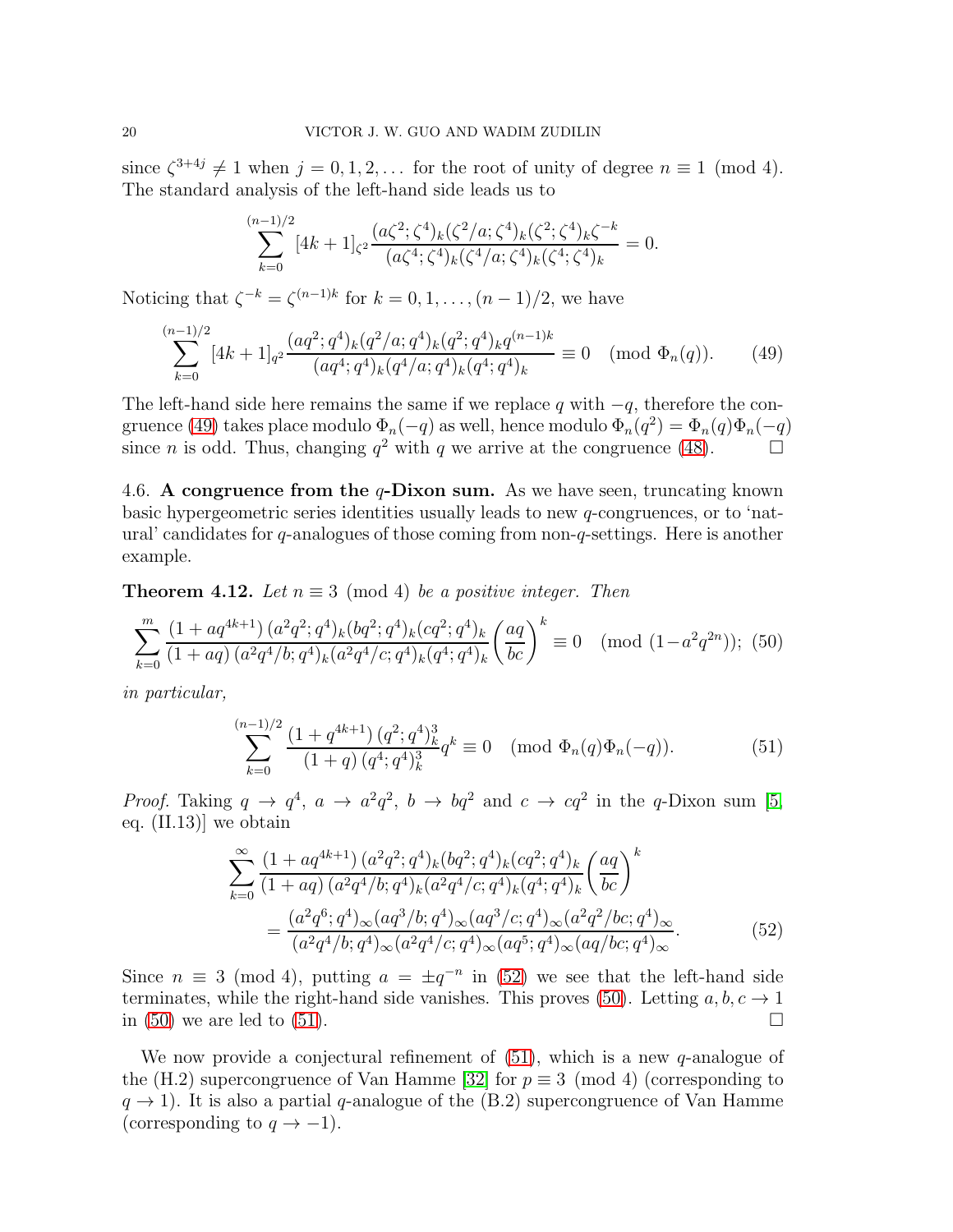since  $\zeta^{3+4j} \neq 1$  when  $j = 0, 1, 2, \ldots$  for the root of unity of degree  $n \equiv 1 \pmod{4}$ . The standard analysis of the left-hand side leads us to

$$
\sum_{k=0}^{(n-1)/2} [4k+1]_{\zeta^2} \frac{(a\zeta^2; \zeta^4)_k (\zeta^2/a; \zeta^4)_k (\zeta^2; \zeta^4)_k \zeta^{-k}}{(a\zeta^4; \zeta^4)_k (\zeta^4/a; \zeta^4)_k (\zeta^4; \zeta^4)_k} = 0.
$$

Noticing that  $\zeta^{-k} = \zeta^{(n-1)k}$  for  $k = 0, 1, \ldots, (n-1)/2$ , we have

<span id="page-19-0"></span>
$$
\sum_{k=0}^{(n-1)/2} [4k+1]_{q^2} \frac{(aq^2;q^4)_k (q^2/a;q^4)_k (q^2;q^4)_k q^{(n-1)k}}{(aq^4;q^4)_k (q^4/a;q^4)_k (q^4;q^4)_k} \equiv 0 \pmod{\Phi_n(q)}.
$$
 (49)

The left-hand side here remains the same if we replace q with  $-q$ , therefore the con-gruence [\(49\)](#page-19-0) takes place modulo  $\Phi_n(-q)$  as well, hence modulo  $\Phi_n(q^2) = \Phi_n(q)\Phi_n(-q)$ since *n* is odd. Thus, changing  $q^2$  with q we arrive at the congruence [\(48\)](#page-18-1).

4.6. A congruence from the  $q$ -Dixon sum. As we have seen, truncating known basic hypergeometric series identities usually leads to new q-congruences, or to 'natural' candidates for q-analogues of those coming from non-q-settings. Here is another example.

**Theorem 4.12.** Let  $n \equiv 3 \pmod{4}$  be a positive integer. Then

<span id="page-19-2"></span>
$$
\sum_{k=0}^{m} \frac{(1+aq^{4k+1})(a^2q^2;q^4)_k (bq^2;q^4)_k (cq^2;q^4)_k}{(1+aq)(a^2q^4/b;q^4)_k (a^2q^4/c;q^4)_k (q^4;q^4)_k} \left(\frac{aq}{bc}\right)^k \equiv 0 \pmod{(1-a^2q^{2n})};
$$
(50)

in particular,

<span id="page-19-3"></span>
$$
\sum_{k=0}^{(n-1)/2} \frac{\left(1+q^{4k+1}\right) (q^2; q^4)_k^3}{\left(1+q\right) (q^4; q^4)_k^3} q^k \equiv 0 \pmod{\Phi_n(q)\Phi_n(-q)}.
$$
 (51)

Proof. Taking  $q \to q^4$ ,  $a \to a^2q^2$ ,  $b \to bq^2$  and  $c \to cq^2$  in the q-Dixon sum [\[5,](#page-24-6) eq. (II.13)] we obtain

<span id="page-19-1"></span>
$$
\sum_{k=0}^{\infty} \frac{\left(1 + aq^{4k+1}\right) (a^2 q^2; q^4)_k (bq^2; q^4)_k (cq^2; q^4)_k}{\left(1 + aq\right) (a^2 q^4 / b; q^4)_k (a^2 q^4 / c; q^4)_k (q^4; q^4)_k} \left(\frac{aq}{bc}\right)^k
$$
\n
$$
= \frac{(a^2 q^6; q^4)_{\infty} (aq^3 / b; q^4)_{\infty} (aq^3 / c; q^4)_{\infty} (a^2 q^2 / bc; q^4)_{\infty}}{(a^2 q^4 / b; q^4)_{\infty} (a^2 q^4 / c; q^4)_{\infty} (aq^5; q^4)_{\infty} (aq / bc; q^4)_{\infty}}.
$$
\n(52)

Since  $n \equiv 3 \pmod{4}$ , putting  $a = \pm q^{-n}$  in [\(52\)](#page-19-1) we see that the left-hand side terminates, while the right-hand side vanishes. This proves [\(50\)](#page-19-2). Letting  $a, b, c \rightarrow 1$  in (50) we are led to (51). in  $(50)$  we are led to  $(51)$ .

We now provide a conjectural refinement of  $(51)$ , which is a new q-analogue of the (H.2) supercongruence of Van Hamme [\[32\]](#page-25-2) for  $p \equiv 3 \pmod{4}$  (corresponding to  $q \rightarrow 1$ ). It is also a partial q-analogue of the (B.2) supercongruence of Van Hamme (corresponding to  $q \to -1$ ).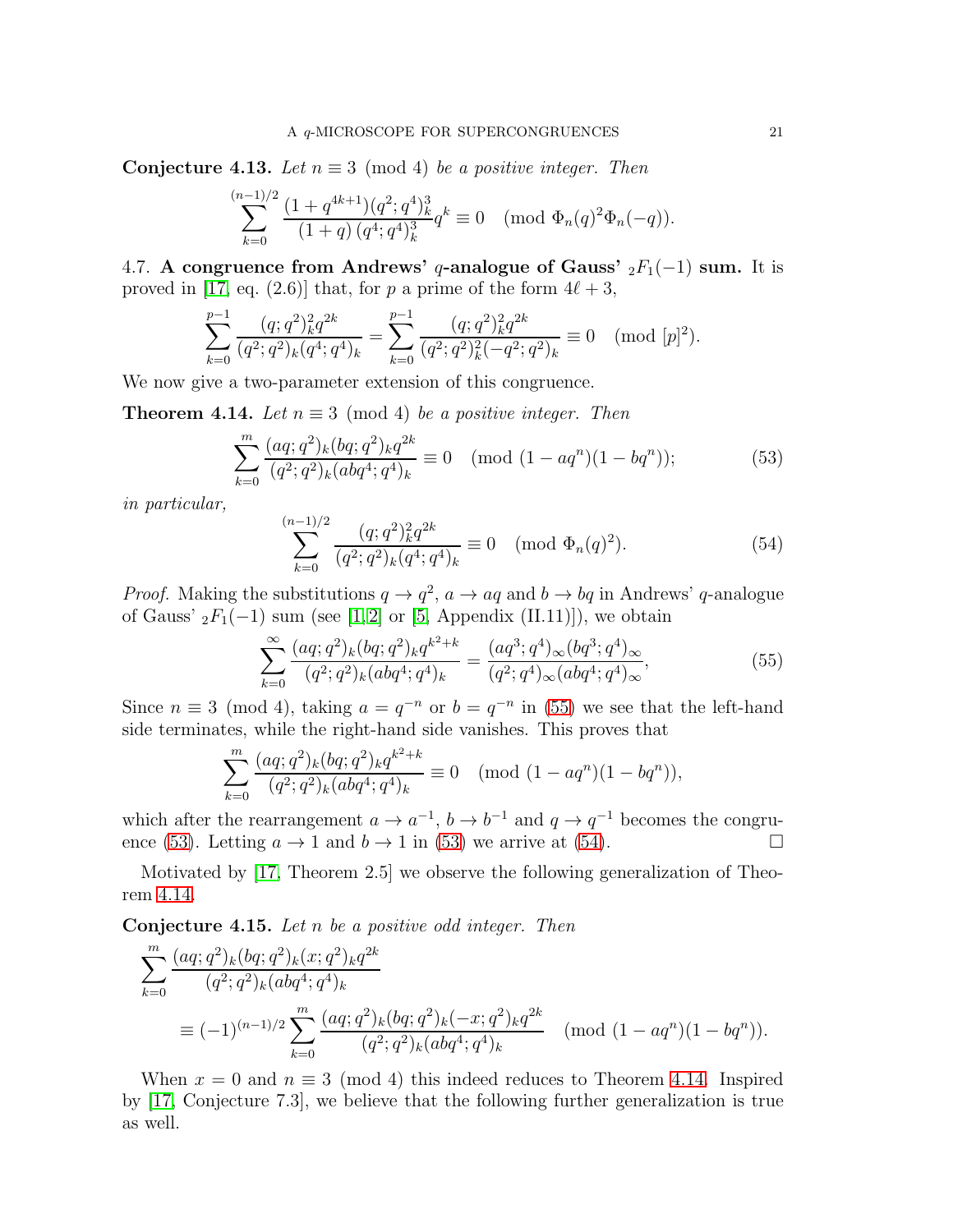**Conjecture 4.13.** Let  $n \equiv 3 \pmod{4}$  be a positive integer. Then

$$
\sum_{k=0}^{(n-1)/2}\frac{(1+q^{4k+1})(q^2;q^4)_k^3}{(1+q)\,(q^4;q^4)_k^3}q^k\equiv 0\pmod{\Phi_n(q)^2\Phi_n(-q)}.
$$

4.7. A congruence from Andrews' q-analogue of Gauss'  $_2F_1(-1)$  sum. It is proved in [\[17,](#page-24-11) eq. (2.6)] that, for p a prime of the form  $4\ell + 3$ ,

$$
\sum_{k=0}^{p-1} \frac{(q;q^2)_k^2 q^{2k}}{(q^2;q^2)_k (q^4;q^4)_k} = \sum_{k=0}^{p-1} \frac{(q;q^2)_k^2 q^{2k}}{(q^2;q^2)_k^2 (-q^2;q^2)_k} \equiv 0 \pmod{[p]^2}.
$$

We now give a two-parameter extension of this congruence.

<span id="page-20-3"></span>**Theorem 4.14.** Let  $n \equiv 3 \pmod{4}$  be a positive integer. Then

<span id="page-20-1"></span>
$$
\sum_{k=0}^{m} \frac{(aq;q^2)_k (bq;q^2)_k q^{2k}}{(q^2;q^2)_k (abq^4;q^4)_k} \equiv 0 \pmod{(1-aq^n)(1-bq^n)};
$$
\n(53)

in particular,

<span id="page-20-2"></span>
$$
\sum_{k=0}^{(n-1)/2} \frac{(q;q^2)_k^2 q^{2k}}{(q^2;q^2)_k (q^4;q^4)_k} \equiv 0 \pmod{\Phi_n(q)^2}.
$$
 (54)

*Proof.* Making the substitutions  $q \to q^2$ ,  $a \to aq$  and  $b \to bq$  in Andrews' q-analogue of Gauss'  $_2F_1(-1)$  sum (see [\[1,](#page-24-12)2] or [\[5,](#page-24-6) Appendix (II.11)]), we obtain

<span id="page-20-0"></span>
$$
\sum_{k=0}^{\infty} \frac{(aq;q^2)_k (bq;q^2)_k q^{k^2+k}}{(q^2;q^2)_k (abq^4;q^4)_k} = \frac{(aq^3;q^4)_{\infty} (bq^3;q^4)_{\infty}}{(q^2;q^4)_{\infty} (abq^4;q^4)_{\infty}},
$$
\n(55)

Since  $n \equiv 3 \pmod{4}$ , taking  $a = q^{-n}$  or  $b = q^{-n}$  in [\(55\)](#page-20-0) we see that the left-hand side terminates, while the right-hand side vanishes. This proves that

$$
\sum_{k=0}^{m} \frac{(aq;q^2)_k (bq;q^2)_k q^{k^2+k}}{(q^2;q^2)_k (abq^4;q^4)_k} \equiv 0 \pmod{(1-aq^n)(1-bq^n)},
$$

which after the rearrangement  $a \to a^{-1}$ ,  $b \to b^{-1}$  and  $q \to q^{-1}$  becomes the congru-ence [\(53\)](#page-20-1). Letting  $a \rightarrow 1$  and  $b \rightarrow 1$  in (53) we arrive at [\(54\)](#page-20-2).

Motivated by [\[17,](#page-24-11) Theorem 2.5] we observe the following generalization of Theorem [4.14.](#page-20-3)

**Conjecture 4.15.** Let  $n$  be a positive odd integer. Then

$$
\sum_{k=0}^{m} \frac{(aq;q^2)_k (bq;q^2)_k (x;q^2)_k q^{2k}}{(q^2;q^2)_k (abq^4;q^4)_k}
$$
\n
$$
\equiv (-1)^{(n-1)/2} \sum_{k=0}^{m} \frac{(aq;q^2)_k (bq;q^2)_k (-x;q^2)_k q^{2k}}{(q^2;q^2)_k (abq^4;q^4)_k} \pmod{(1-aq^n)(1-bq^n)}.
$$

When  $x = 0$  and  $n \equiv 3 \pmod{4}$  this indeed reduces to Theorem [4.14.](#page-20-3) Inspired by [\[17,](#page-24-11) Conjecture 7.3], we believe that the following further generalization is true as well.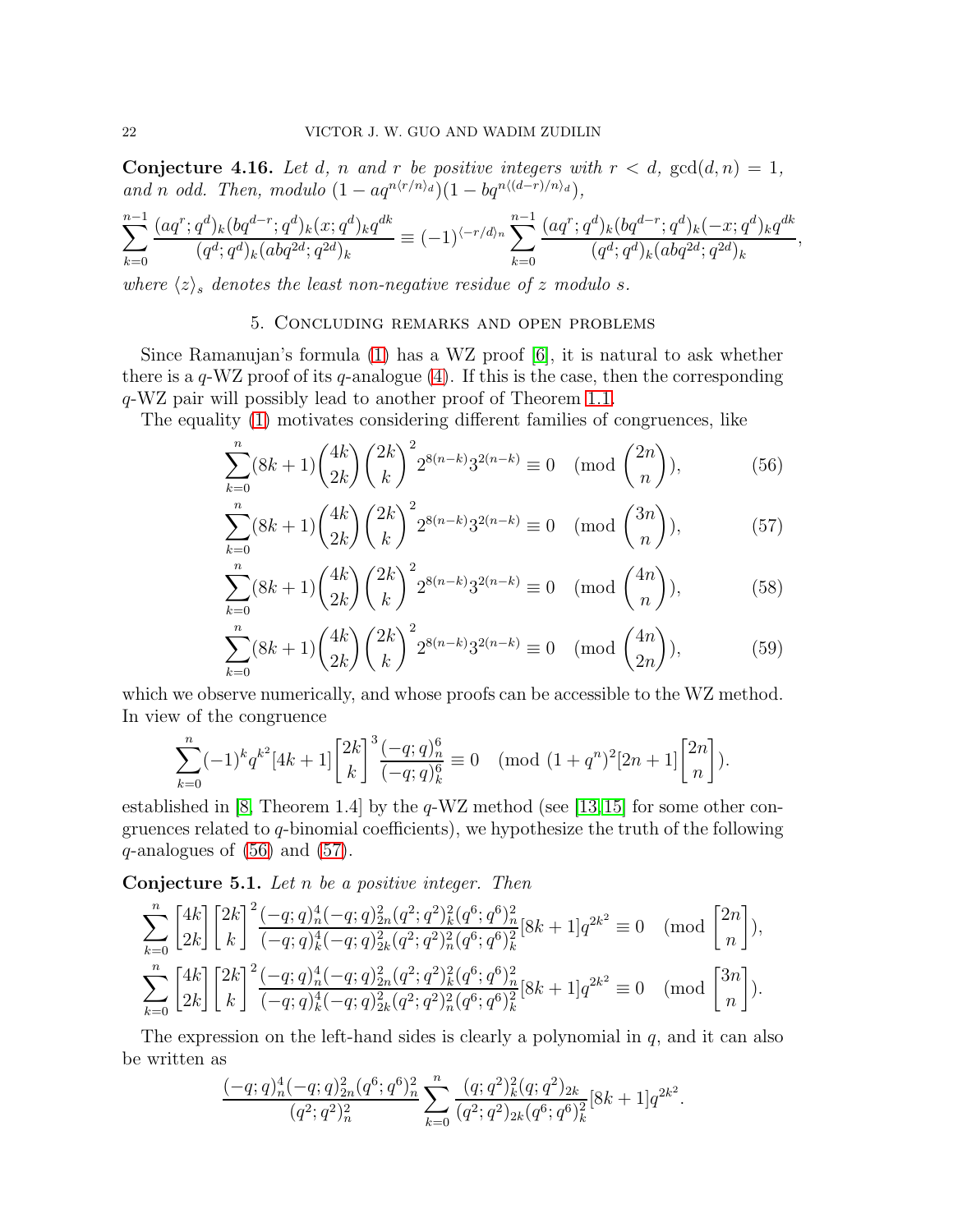**Conjecture 4.16.** Let d, n and r be positive integers with  $r < d$ ,  $gcd(d, n) = 1$ , and n odd. Then, modulo  $(1 - aq^{n\langle r/n \rangle_d})(1 - bq^{n\langle (d-r)/n \rangle_d}),$ 

$$
\sum_{k=0}^{n-1} \frac{(aq^r;q^d)_k (bq^{d-r};q^d)_k (x;q^d)_k q^{dk}}{(q^d;q^d)_k (abq^{2d};q^{2d})_k} \equiv (-1)^{\langle -r/d \rangle_n} \sum_{k=0}^{n-1} \frac{(aq^r;q^d)_k (bq^{d-r};q^d)_k (-x;q^d)_k q^{dk}}{(q^d;q^d)_k (abq^{2d};q^{2d})_k},
$$

<span id="page-21-0"></span>where  $\langle z \rangle_s$  denotes the least non-negative residue of z modulo s.

## <span id="page-21-1"></span>5. Concluding remarks and open problems

Since Ramanujan's formula  $(1)$  has a WZ proof  $[6]$ , it is natural to ask whether there is a  $q-WZ$  proof of its  $q$ -analogue [\(4\)](#page-1-1). If this is the case, then the corresponding q-WZ pair will possibly lead to another proof of Theorem [1.1.](#page-2-0)

The equality [\(1\)](#page-0-0) motivates considering different families of congruences, like

$$
\sum_{k=0}^{n} (8k+1) {4k \choose 2k} {2k \choose k}^2 2^{8(n-k)} 3^{2(n-k)} \equiv 0 \pmod{{2n \choose n}},
$$
(56)

<span id="page-21-2"></span>
$$
\sum_{k=0}^{n} (8k+1) {4k \choose 2k} {2k \choose k}^2 2^{8(n-k)} 3^{2(n-k)} \equiv 0 \pmod{{3n \choose n}},\tag{57}
$$

$$
\sum_{k=0}^{n} (8k+1) {4k \choose 2k} {2k \choose k}^2 2^{8(n-k)} 3^{2(n-k)} \equiv 0 \pmod{{4n \choose n}},
$$
(58)

<span id="page-21-4"></span><span id="page-21-3"></span>
$$
\sum_{k=0}^{n} (8k+1) {4k \choose 2k} {2k \choose k}^2 2^{8(n-k)} 3^{2(n-k)} \equiv 0 \pmod{{4n \choose 2n}},
$$
(59)

which we observe numerically, and whose proofs can be accessible to the WZ method. In view of the congruence

$$
\sum_{k=0}^{n} (-1)^{k} q^{k^{2}} [4k+1] \binom{2k}{k}^{3} \frac{(-q;q)_{n}^{6}}{(-q;q)_{k}^{6}} \equiv 0 \pmod{(1+q^{n})^{2}[2n+1]} \binom{2n}{n}.
$$

established in [\[8,](#page-24-2) Theorem 1.4] by the  $q$ -WZ method (see [\[13,](#page-24-15)[15\]](#page-24-16) for some other congruences related to  $q$ -binomial coefficients), we hypothesize the truth of the following  $q$ -analogues of  $(56)$  and  $(57)$ .

Conjecture 5.1. Let n be a positive integer. Then

$$
\sum_{k=0}^{n} \begin{bmatrix} 4k \\ 2k \end{bmatrix} \begin{bmatrix} 2k \\ k \end{bmatrix}^2 \frac{(-q;q)_n^4(-q;q)_{2n}^2(q^2;q^2)_k^2(q^6;q^6)_n^2}{(-q;q)_k^4(-q;q)_{2k}^2(q^2;q^2)_n^2(q^6;q^6)_k^2} [8k+1] q^{2k^2} \equiv 0 \pmod{\begin{bmatrix} 2n \\ n \end{bmatrix}},
$$
  

$$
\sum_{k=0}^{n} \begin{bmatrix} 4k \\ 2k \end{bmatrix} \begin{bmatrix} 2k \\ k \end{bmatrix}^2 \frac{(-q;q)_n^4(-q;q)_{2n}^2(q^2;q^2)_k^2(q^6;q^6)_n^2}{(-q;q)_k^4(-q;q)_{2k}^2(q^2;q^2)_n^2(q^6;q^6)_k^2} [8k+1] q^{2k^2} \equiv 0 \pmod{\begin{bmatrix} 3n \\ n \end{bmatrix}}.
$$

The expression on the left-hand sides is clearly a polynomial in  $q$ , and it can also be written as

$$
\frac{(-q;q)_n^4(-q;q)_{2n}^2(q^6;q^6)_n^2}{(q^2;q^2)_n^2} \sum_{k=0}^n \frac{(q;q^2)_k^2(q;q^2)_{2k}}{(q^2;q^2)_{2k}(q^6;q^6)_k^2} [8k+1]q^{2k^2}.
$$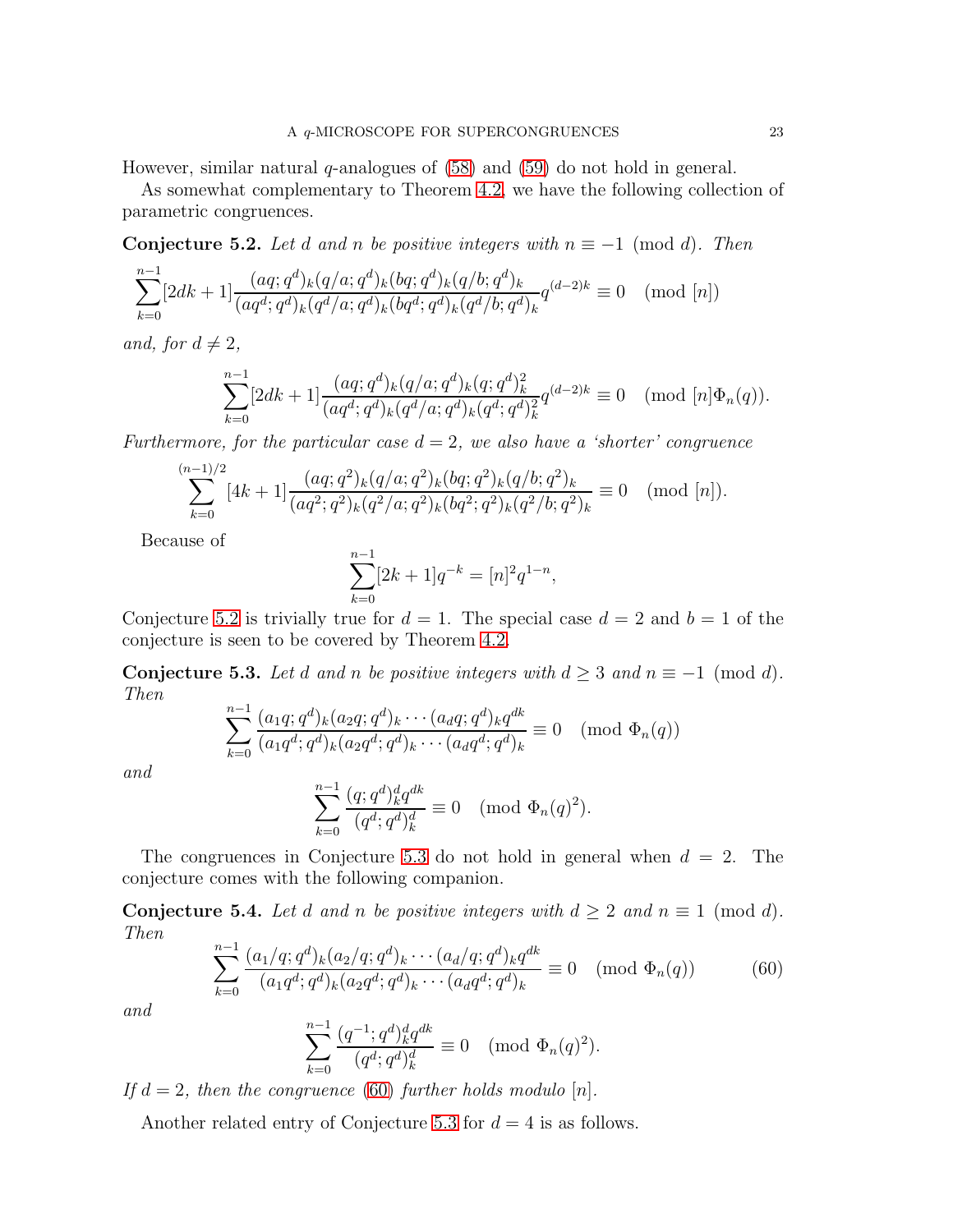However, similar natural  $q$ -analogues of  $(58)$  and  $(59)$  do not hold in general.

As somewhat complementary to Theorem [4.2,](#page-11-2) we have the following collection of parametric congruences.

<span id="page-22-0"></span>Conjecture 5.2. Let d and n be positive integers with  $n \equiv -1 \pmod{d}$ . Then

$$
\sum_{k=0}^{n-1} [2dk+1] \frac{(aq;q^d)_k (q/a;q^d)_k (bq;q^d)_k (q/b;q^d)_k}{(aq^d;q^d)_k (q^d/a;q^d)_k (bq^d;q^d)_k (q^d/b;q^d)_k} q^{(d-2)k} \equiv 0 \pmod{[n]}
$$

and, for  $d \neq 2$ ,

$$
\sum_{k=0}^{n-1} [2dk+1] \frac{(aq;q^d)_k (q/a;q^d)_k (q;q^d)_k^2}{(aq^d;q^d)_k (q^d/a;q^d)_k (q^d;q^d)_k^2} q^{(d-2)k} \equiv 0 \pmod{[n] \Phi_n(q)}.
$$

Furthermore, for the particular case  $d = 2$ , we also have a 'shorter' congruence

$$
\sum_{k=0}^{(n-1)/2} [4k+1] \frac{(aq;q^2)_k (q/a;q^2)_k (bq;q^2)_k (q/b;q^2)_k}{(aq^2;q^2)_k (q^2/a;q^2)_k (bq^2;q^2)_k (q^2/b;q^2)_k} \equiv 0 \pmod{[n]}.
$$

Because of

$$
\sum_{k=0}^{n-1} [2k+1]q^{-k} = [n]^2 q^{1-n},
$$

Conjecture [5.2](#page-22-0) is trivially true for  $d = 1$ . The special case  $d = 2$  and  $b = 1$  of the conjecture is seen to be covered by Theorem [4.2.](#page-11-2)

<span id="page-22-1"></span>Conjecture 5.3. Let d and n be positive integers with  $d \geq 3$  and  $n \equiv -1 \pmod{d}$ . Then

$$
\sum_{k=0}^{n-1} \frac{(a_1q;q^d)_k (a_2q;q^d)_k \cdots (a_dq;q^d)_k q^{dk}}{(a_1q^d;q^d)_k (a_2q^d;q^d)_k \cdots (a_dq^d;q^d)_k} \equiv 0 \pmod{\Phi_n(q)}
$$

and

$$
\sum_{k=0}^{n-1} \frac{(q;q^d)_k^d q^{dk}}{(q^d;q^d)_k^d} \equiv 0 \pmod{\Phi_n(q)^2}.
$$

The congruences in Conjecture [5.3](#page-22-1) do not hold in general when  $d = 2$ . The conjecture comes with the following companion.

Conjecture 5.4. Let d and n be positive integers with  $d \geq 2$  and  $n \equiv 1 \pmod{d}$ . Then

<span id="page-22-2"></span>
$$
\sum_{k=0}^{n-1} \frac{(a_1/q;q^d)_k (a_2/q;q^d)_k \cdots (a_d/q;q^d)_k q^{dk}}{(a_1 q^d;q^d)_k (a_2 q^d;q^d)_k \cdots (a_d q^d;q^d)_k} \equiv 0 \pmod{\Phi_n(q)}
$$
(60)

and

$$
\sum_{k=0}^{n-1} \frac{(q^{-1}; q^d)_k^d q^{dk}}{(q^d; q^d)_k^d} \equiv 0 \pmod{\Phi_n(q)^2}.
$$

If  $d = 2$ , then the congruence [\(60\)](#page-22-2) further holds modulo [n].

Another related entry of Conjecture [5.3](#page-22-1) for  $d = 4$  is as follows.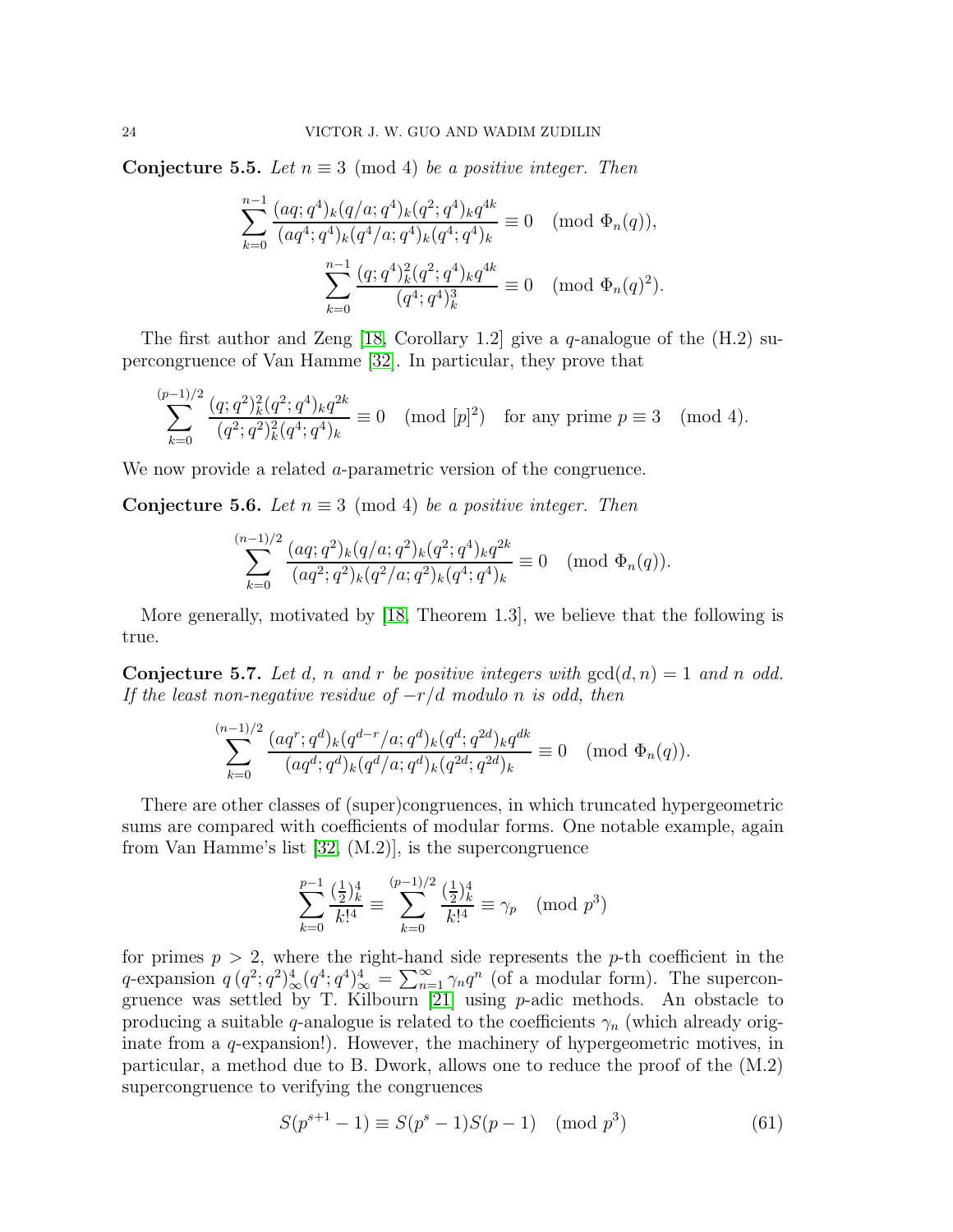Conjecture 5.5. Let  $n \equiv 3 \pmod{4}$  be a positive integer. Then

$$
\sum_{k=0}^{n-1} \frac{(aq;q^4)_k (q/a;q^4)_k (q^2;q^4)_k q^{4k}}{(aq^4;q^4)_k (q^4/a;q^4)_k (q^4;q^4)_k} \equiv 0 \pmod{\Phi_n(q)},
$$
  

$$
\sum_{k=0}^{n-1} \frac{(q;q^4)_k^2 (q^2;q^4)_k q^{4k}}{(q^4;q^4)_k^3} \equiv 0 \pmod{\Phi_n(q)^2}.
$$

The first author and Zeng [\[18,](#page-24-17) Corollary 1.2] give a q-analogue of the  $(H.2)$  supercongruence of Van Hamme [\[32\]](#page-25-2). In particular, they prove that

$$
\sum_{k=0}^{(p-1)/2} \frac{(q;q^2)_k^2 (q^2;q^4)_k q^{2k}}{(q^2;q^2)_k^2 (q^4;q^4)_k} \equiv 0 \pmod{[p]^2} \text{ for any prime } p \equiv 3 \pmod{4}.
$$

We now provide a related a-parametric version of the congruence.

**Conjecture 5.6.** Let  $n \equiv 3 \pmod{4}$  be a positive integer. Then

$$
\sum_{k=0}^{(n-1)/2} \frac{(aq;q^2)_k (q/a;q^2)_k (q^2;q^4)_k q^{2k}}{(aq^2;q^2)_k (q^2/a;q^2)_k (q^4;q^4)_k} \equiv 0 \pmod{\Phi_n(q)}.
$$

More generally, motivated by [\[18,](#page-24-17) Theorem 1.3], we believe that the following is true.

**Conjecture 5.7.** Let d, n and r be positive integers with  $gcd(d, n) = 1$  and n odd. If the least non-negative residue of  $-r/d$  modulo n is odd, then

$$
\sum_{k=0}^{(n-1)/2} \frac{(aq^r;q^d)_k (q^{d-r}/a;q^d)_k (q^d;q^{2d})_k q^{dk}}{(aq^d;q^d)_k (q^d/a;q^d)_k (q^{2d};q^{2d})_k} \equiv 0 \pmod{\Phi_n(q)}.
$$

There are other classes of (super)congruences, in which truncated hypergeometric sums are compared with coefficients of modular forms. One notable example, again from Van Hamme's list [\[32,](#page-25-2) (M.2)], is the supercongruence

$$
\sum_{k=0}^{p-1} \frac{\left(\frac{1}{2}\right)_k^4}{k!^4} \equiv \sum_{k=0}^{(p-1)/2} \frac{\left(\frac{1}{2}\right)_k^4}{k!^4} \equiv \gamma_p \pmod{p^3}
$$

for primes  $p > 2$ , where the right-hand side represents the p-th coefficient in the q-expansion  $q(q^2; q^2)^4_\infty(q^4; q^4)^4_\infty = \sum_{n=1}^\infty \gamma_n q^n$  (of a modular form). The supercongruence was settled by T. Kilbourn [\[21\]](#page-25-14) using p-adic methods. An obstacle to producing a suitable q-analogue is related to the coefficients  $\gamma_n$  (which already originate from a q-expansion!). However, the machinery of hypergeometric motives, in particular, a method due to B. Dwork, allows one to reduce the proof of the (M.2) supercongruence to verifying the congruences

<span id="page-23-0"></span>
$$
S(p^{s+1} - 1) \equiv S(p^s - 1)S(p - 1) \pmod{p^3}
$$
 (61)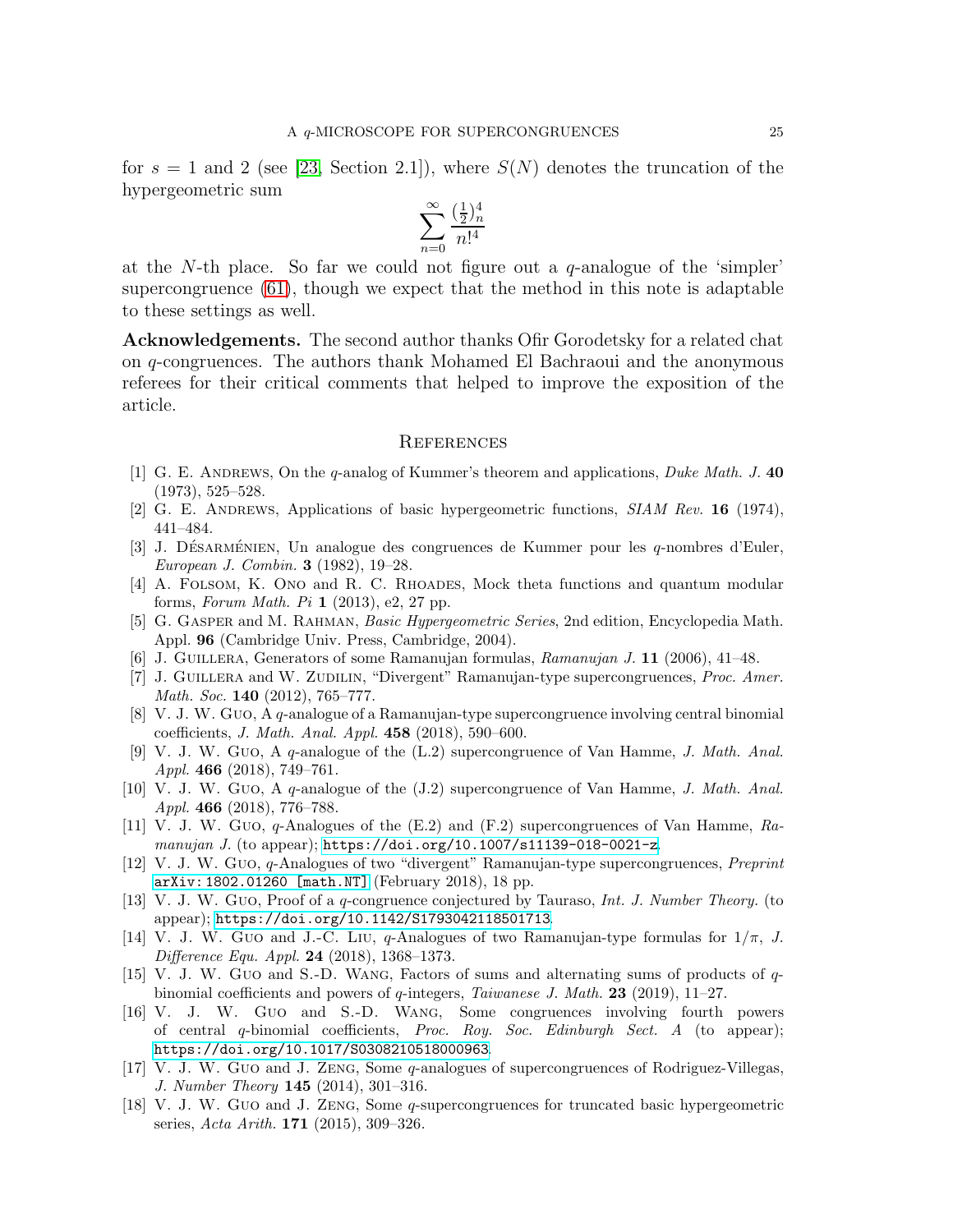for  $s = 1$  and 2 (see [\[23,](#page-25-15) Section 2.1]), where  $S(N)$  denotes the truncation of the hypergeometric sum

$$
\sum_{n=0}^{\infty} \frac{(\frac{1}{2})_n^4}{n!^4}
$$

at the N-th place. So far we could not figure out a  $q$ -analogue of the 'simpler' supercongruence [\(61\)](#page-23-0), though we expect that the method in this note is adaptable to these settings as well.

Acknowledgements. The second author thanks Ofir Gorodetsky for a related chat on q-congruences. The authors thank Mohamed El Bachraoui and the anonymous referees for their critical comments that helped to improve the exposition of the article.

#### **REFERENCES**

- <span id="page-24-12"></span>[1] G. E. ANDREWS, On the q-analog of Kummer's theorem and applications, *Duke Math.* J. 40 (1973), 525–528.
- <span id="page-24-13"></span><span id="page-24-5"></span>[2] G. E. ANDREWS, Applications of basic hypergeometric functions, SIAM Rev. 16 (1974), 441–484.
- [3] J. DÉSARMÉNIEN, Un analogue des congruences de Kummer pour les q-nombres d'Euler, European J. Combin. 3 (1982), 19–28.
- <span id="page-24-4"></span>[4] A. Folsom, K. Ono and R. C. Rhoades, Mock theta functions and quantum modular forms, Forum Math. Pi  $1$  (2013), e2, 27 pp.
- <span id="page-24-6"></span>[5] G. Gasper and M. Rahman, Basic Hypergeometric Series, 2nd edition, Encyclopedia Math. Appl. 96 (Cambridge Univ. Press, Cambridge, 2004).
- <span id="page-24-14"></span><span id="page-24-0"></span>[6] J. Guillera, Generators of some Ramanujan formulas, Ramanujan J. 11 (2006), 41–48.
- [7] J. GUILLERA and W. ZUDILIN, "Divergent" Ramanujan-type supercongruences, *Proc. Amer.* Math. Soc. **140** (2012), 765–777.
- <span id="page-24-2"></span>[8] V. J. W. Guo, A q-analogue of a Ramanujan-type supercongruence involving central binomial coefficients, J. Math. Anal. Appl. 458 (2018), 590–600.
- <span id="page-24-9"></span>[9] V. J. W. Guo, A q-analogue of the (L.2) supercongruence of Van Hamme, J. Math. Anal. Appl. 466 (2018), 749-761.
- <span id="page-24-8"></span>[10] V. J. W. Guo, A q-analogue of the (J.2) supercongruence of Van Hamme, J. Math. Anal. Appl. 466 (2018), 776–788.
- <span id="page-24-10"></span>[11] V. J. W. Guo, q-Analogues of the (E.2) and (F.2) supercongruences of Van Hamme, Ramanujan J. (to appear); <https://doi.org/10.1007/s11139-018-0021-z>.
- <span id="page-24-3"></span>[12] V. J. W. Guo, q-Analogues of two "divergent" Ramanujan-type supercongruences, Preprint [arXiv: 1802.01260 \[math.NT\]](http://arxiv.org/abs/1802.01260) (February 2018), 18 pp.
- <span id="page-24-15"></span>[13] V. J. W. Guo, Proof of a q-congruence conjectured by Tauraso, Int. J. Number Theory. (to appear); <https://doi.org/10.1142/S1793042118501713>.
- <span id="page-24-1"></span>[14] V. J. W. Guo and J.-C. Liu, q-Analogues of two Ramanujan-type formulas for  $1/\pi$ , J. Difference Equ. Appl. 24 (2018), 1368–1373.
- <span id="page-24-16"></span>[15] V. J. W. Guo and S.-D. Wang, Factors of sums and alternating sums of products of qbinomial coefficients and powers of  $q$ -integers, Taiwanese J. Math. 23 (2019), 11–27.
- <span id="page-24-7"></span>[16] V. J. W. Guo and S.-D. Wang, Some congruences involving fourth powers of central q-binomial coefficients, Proc. Roy. Soc. Edinburgh Sect. A (to appear); <https://doi.org/10.1017/S0308210518000963>.
- <span id="page-24-11"></span>[17] V. J. W. Guo and J. Zeng, Some q-analogues of supercongruences of Rodriguez-Villegas, J. Number Theory 145 (2014), 301–316.
- <span id="page-24-17"></span>[18] V. J. W. Guo and J. Zeng, Some q-supercongruences for truncated basic hypergeometric series, Acta Arith. 171 (2015), 309–326.